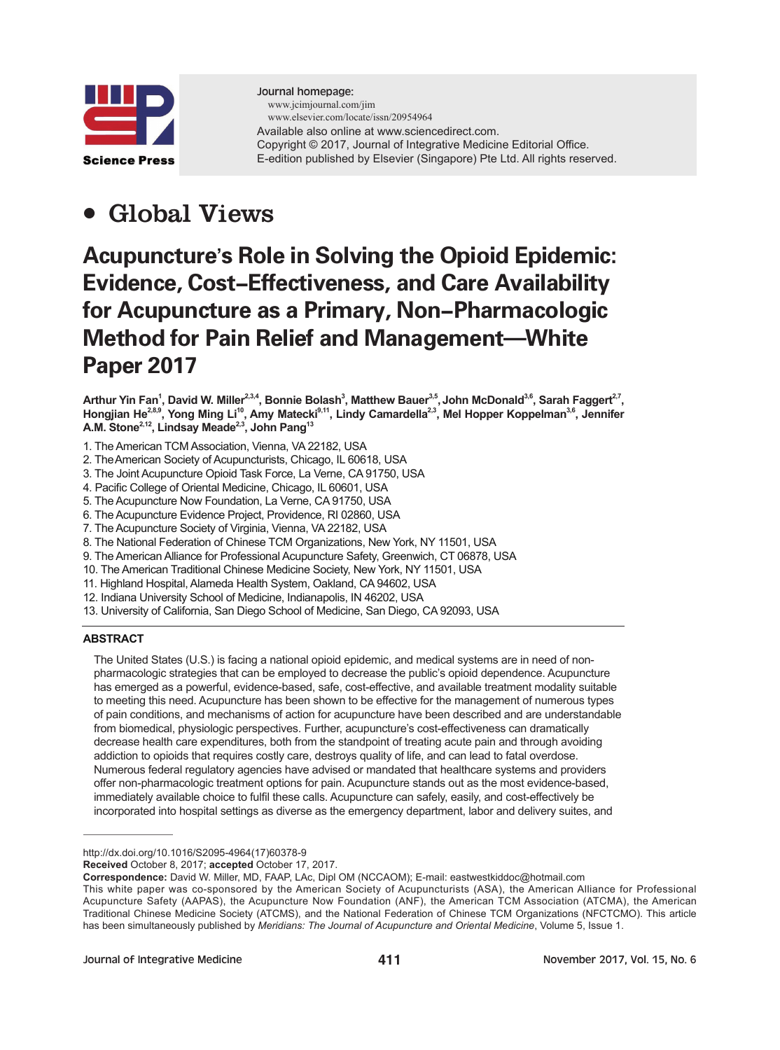

Journal homepage: www.jcimjournal.com/jim www.elsevier.com/locate/issn/20954964 Available also online at www.sciencedirect.com. Copyright © 2017, Journal of Integrative Medicine Editorial Office. E-edition published by Elsevier (Singapore) Pte Ltd. All rights reserved.

## ● **Global Views**

# Acupuncture**'**s Role in Solving the Opioid Epidemic: Evidence, Cost-Effectiveness, and Care Availability for Acupuncture as a Primary, Non-Pharmacologic Method for Pain Relief and Management**—**White Paper 2017

Arthur Yin Fan<sup>1</sup>, David W. Miller<sup>2,3,4</sup>, Bonnie Bolash<sup>3</sup>, Matthew Bauer<sup>3,5</sup>, John McDonald<sup>3,6</sup>, Sarah Faggert<sup>2,7</sup>, **Hongjian He2,8,9, Yong Ming Li10, Amy Matecki9,11, Lindy Camardella2,3, Mel Hopper Koppelman3,6, Jennifer A.M. Stone2,12, Lindsay Meade2,3, John Pang13**

- 1. The American TCM Association, Vienna, VA 22182, USA
- 2. TheAmerican Society of Acupuncturists, Chicago, IL 60618, USA
- 3. The Joint Acupuncture Opioid Task Force, La Verne, CA 91750, USA
- 4. Pacific College of Oriental Medicine, Chicago, IL 60601, USA
- 5. The Acupuncture Now Foundation, La Verne, CA 91750, USA
- 6. The Acupuncture Evidence Project, Providence, RI 02860, USA
- 7. The Acupuncture Society of Virginia, Vienna, VA 22182, USA
- 8. The National Federation of Chinese TCM Organizations, New York, NY 11501, USA
- 9. The American Alliance for Professional Acupuncture Safety, Greenwich, CT 06878, USA
- 10. The American Traditional Chinese Medicine Society, New York, NY 11501, USA
- 11. Highland Hospital, Alameda Health System, Oakland, CA 94602, USA
- 12. Indiana University School of Medicine, Indianapolis, IN 46202, USA
- 13. University of California, San Diego School of Medicine, San Diego, CA 92093, USA

#### **ABSTRACT**

The United States (U.S.) is facing a national opioid epidemic, and medical systems are in need of nonpharmacologic strategies that can be employed to decrease the public's opioid dependence. Acupuncture has emerged as a powerful, evidence-based, safe, cost-effective, and available treatment modality suitable to meeting this need. Acupuncture has been shown to be effective for the management of numerous types of pain conditions, and mechanisms of action for acupuncture have been described and are understandable from biomedical, physiologic perspectives. Further, acupuncture's cost-effectiveness can dramatically decrease health care expenditures, both from the standpoint of treating acute pain and through avoiding addiction to opioids that requires costly care, destroys quality of life, and can lead to fatal overdose. Numerous federal regulatory agencies have advised or mandated that healthcare systems and providers offer non-pharmacologic treatment options for pain. Acupuncture stands out as the most evidence-based, immediately available choice to fulfil these calls. Acupuncture can safely, easily, and cost-effectively be incorporated into hospital settings as diverse as the emergency department, labor and delivery suites, and

http://dx.doi.org/10.1016/S2095-4964(17)60378-9

**Received** October 8, 2017; **accepted** October 17, 2017.

**Correspondence:** David W. Miller, MD, FAAP, LAc, Dipl OM (NCCAOM); E-mail: eastwestkiddoc@hotmail.com

This white paper was co-sponsored by the American Society of Acupuncturists (ASA), the American Alliance for Professional Acupuncture Safety (AAPAS), the Acupuncture Now Foundation (ANF), the American TCM Association (ATCMA), the American Traditional Chinese Medicine Society (ATCMS), and the National Federation of Chinese TCM Organizations (NFCTCMO). This article has been simultaneously published by *Meridians: The Journal of Acupuncture and Oriental Medicine*, Volume 5, Issue 1.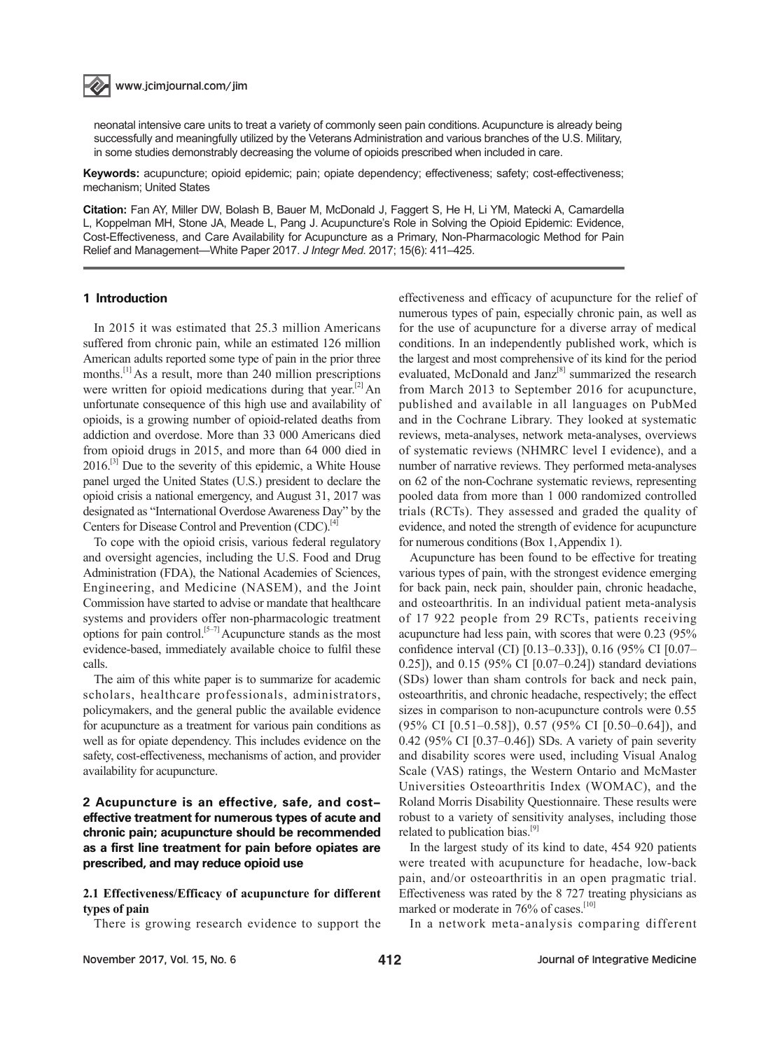### www.jcimjournal.com/jim

neonatal intensive care units to treat a variety of commonly seen pain conditions. Acupuncture is already being successfully and meaningfully utilized by the Veterans Administration and various branches of the U.S. Military, in some studies demonstrably decreasing the volume of opioids prescribed when included in care.

**Keywords:** acupuncture; opioid epidemic; pain; opiate dependency; effectiveness; safety; cost-effectiveness; mechanism; United States

**Citation:** Fan AY, Miller DW, Bolash B, Bauer M, McDonald J, Faggert S, He H, Li YM, Matecki A, Camardella L, Koppelman MH, Stone JA, Meade L, Pang J. Acupuncture's Role in Solving the Opioid Epidemic: Evidence, Cost-Effectiveness, and Care Availability for Acupuncture as a Primary, Non-Pharmacologic Method for Pain Relief and Management—White Paper 2017. *J Integr Med*. 2017; 15(6): 411–425.

#### 1 Introduction

In 2015 it was estimated that 25.3 million Americans suffered from chronic pain, while an estimated 126 million American adults reported some type of pain in the prior three months.<sup>[1]</sup> As a result, more than 240 million prescriptions were written for opioid medications during that year.<sup>[2]</sup> An unfortunate consequence of this high use and availability of opioids, is a growing number of opioid-related deaths from addiction and overdose. More than 33 000 Americans died from opioid drugs in 2015, and more than 64 000 died in  $2016$ .<sup>[3]</sup> Due to the severity of this epidemic, a White House panel urged the United States (U.S.) president to declare the opioid crisis a national emergency, and August 31, 2017 was designated as "International Overdose Awareness Day" by the Centers for Disease Control and Prevention (CDC).<sup>[4]</sup>

To cope with the opioid crisis, various federal regulatory and oversight agencies, including the U.S. Food and Drug Administration (FDA), the National Academies of Sciences, Engineering, and Medicine (NASEM), and the Joint Commission have started to advise or mandate that healthcare systems and providers offer non-pharmacologic treatment options for pain control.<sup>[5–7]</sup> Acupuncture stands as the most evidence-based, immediately available choice to fulfil these calls.

The aim of this white paper is to summarize for academic scholars, healthcare professionals, administrators, policymakers, and the general public the available evidence for acupuncture as a treatment for various pain conditions as well as for opiate dependency. This includes evidence on the safety, cost-effectiveness, mechanisms of action, and provider availability for acupuncture.

2 Acupuncture is an effective, safe, and costeffective treatment for numerous types of acute and chronic pain; acupuncture should be recommended as a first line treatment for pain before opiates are prescribed, and may reduce opioid use

#### **2.1 Effectiveness/Efficacy of acupuncture for different types of pain**

There is growing research evidence to support the

effectiveness and efficacy of acupuncture for the relief of numerous types of pain, especially chronic pain, as well as for the use of acupuncture for a diverse array of medical conditions. In an independently published work, which is the largest and most comprehensive of its kind for the period evaluated, McDonald and Janz<sup>[8]</sup> summarized the research from March 2013 to September 2016 for acupuncture, published and available in all languages on PubMed and in the Cochrane Library. They looked at systematic reviews, meta-analyses, network meta-analyses, overviews of systematic reviews (NHMRC level I evidence), and a number of narrative reviews. They performed meta-analyses on 62 of the non-Cochrane systematic reviews, representing pooled data from more than 1 000 randomized controlled trials (RCTs). They assessed and graded the quality of evidence, and noted the strength of evidence for acupuncture for numerous conditions (Box 1,Appendix 1).

Acupuncture has been found to be effective for treating various types of pain, with the strongest evidence emerging for back pain, neck pain, shoulder pain, chronic headache, and osteoarthritis. In an individual patient meta-analysis of 17 922 people from 29 RCTs, patients receiving acupuncture had less pain, with scores that were 0.23 (95% confidence interval (CI) [0.13–0.33]), 0.16 (95% CI [0.07– 0.25]), and 0.15 (95% CI [0.07–0.24]) standard deviations (SDs) lower than sham controls for back and neck pain, osteoarthritis, and chronic headache, respectively; the effect sizes in comparison to non-acupuncture controls were 0.55 (95% CI [0.51–0.58]), 0.57 (95% CI [0.50–0.64]), and 0.42 (95% CI [0.37–0.46]) SDs. A variety of pain severity and disability scores were used, including Visual Analog Scale (VAS) ratings, the Western Ontario and McMaster Universities Osteoarthritis Index (WOMAC), and the Roland Morris Disability Questionnaire. These results were robust to a variety of sensitivity analyses, including those related to publication bias.<sup>[9]</sup>

In the largest study of its kind to date, 454 920 patients were treated with acupuncture for headache, low-back pain, and/or osteoarthritis in an open pragmatic trial. Effectiveness was rated by the 8 727 treating physicians as marked or moderate in 76% of cases.<sup>[10]</sup>

In a network meta-analysis comparing different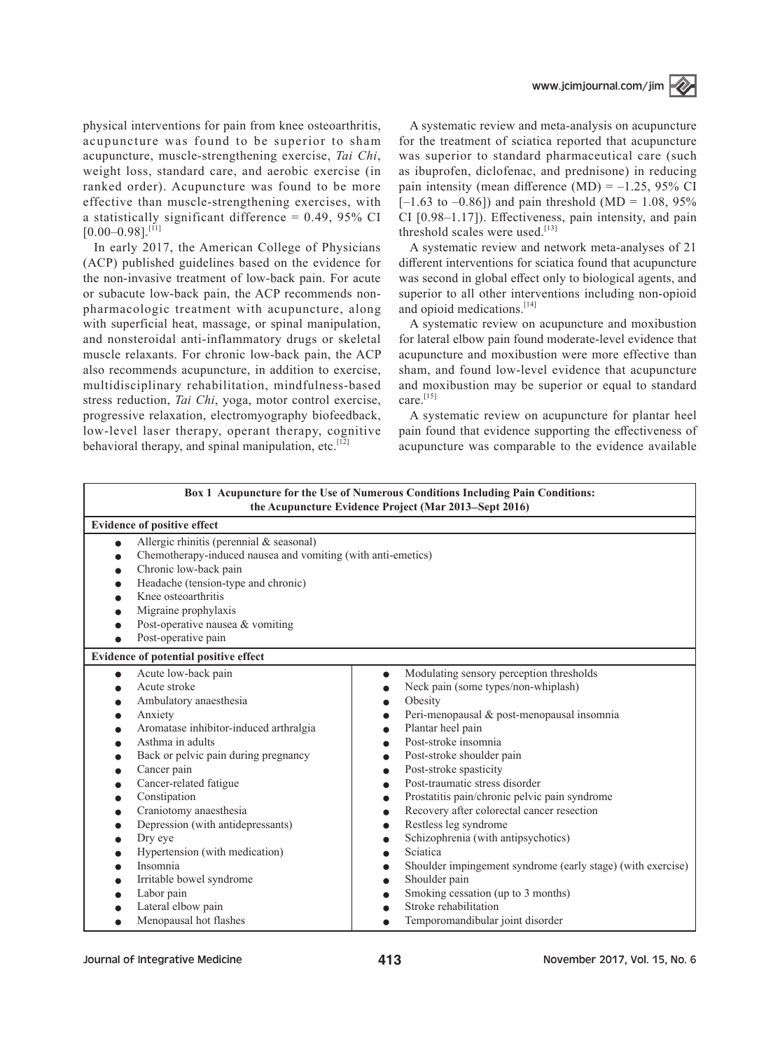

physical interventions for pain from knee osteoarthritis, acupuncture was found to be superior to sham acupuncture, muscle-strengthening exercise, *Tai Chi*, weight loss, standard care, and aerobic exercise (in ranked order). Acupuncture was found to be more effective than muscle-strengthening exercises, with a statistically significant difference =  $0.49$ ,  $95\%$  CI  $[0.00-0.98]$ <sup>[11]</sup>

In early 2017, the American College of Physicians (ACP) published guidelines based on the evidence for the non-invasive treatment of low-back pain. For acute or subacute low-back pain, the ACP recommends nonpharmacologic treatment with acupuncture, along with superficial heat, massage, or spinal manipulation, and nonsteroidal anti-inflammatory drugs or skeletal muscle relaxants. For chronic low-back pain, the ACP also recommends acupuncture, in addition to exercise, multidisciplinary rehabilitation, mindfulness-based stress reduction, *Tai Chi*, yoga, motor control exercise, progressive relaxation, electromyography biofeedback, low-level laser therapy, operant therapy, cognitive behavioral therapy, and spinal manipulation, etc.<sup>[12]</sup>

A systematic review and meta-analysis on acupuncture for the treatment of sciatica reported that acupuncture was superior to standard pharmaceutical care (such as ibuprofen, diclofenac, and prednisone) in reducing pain intensity (mean difference  $(MD) = -1.25$ , 95% CI  $[-1.63 \text{ to } -0.86]$  and pain threshold (MD = 1.08, 95%) CI [0.98–1.17]). Effectiveness, pain intensity, and pain threshold scales were used.<sup>[13]</sup>

A systematic review and network meta-analyses of 21 different interventions for sciatica found that acupuncture was second in global effect only to biological agents, and superior to all other interventions including non-opioid and opioid medications.<sup>[14]</sup>

A systematic review on acupuncture and moxibustion for lateral elbow pain found moderate-level evidence that acupuncture and moxibustion were more effective than sham, and found low-level evidence that acupuncture and moxibustion may be superior or equal to standard care.<sup>[15]</sup>

A systematic review on acupuncture for plantar heel pain found that evidence supporting the effectiveness of acupuncture was comparable to the evidence available

|                                                                                                                                                                                                                                                                                                                                                                                                                                                                        | <b>Box 1 Acupuncture for the Use of Numerous Conditions Including Pain Conditions:</b><br>the Acupuncture Evidence Project (Mar 2013–Sept 2016)                                                                                                                                                                                                                                                                                                                                                                                                                                                                                                                                                                                                                                                                       |
|------------------------------------------------------------------------------------------------------------------------------------------------------------------------------------------------------------------------------------------------------------------------------------------------------------------------------------------------------------------------------------------------------------------------------------------------------------------------|-----------------------------------------------------------------------------------------------------------------------------------------------------------------------------------------------------------------------------------------------------------------------------------------------------------------------------------------------------------------------------------------------------------------------------------------------------------------------------------------------------------------------------------------------------------------------------------------------------------------------------------------------------------------------------------------------------------------------------------------------------------------------------------------------------------------------|
| <b>Evidence of positive effect</b>                                                                                                                                                                                                                                                                                                                                                                                                                                     |                                                                                                                                                                                                                                                                                                                                                                                                                                                                                                                                                                                                                                                                                                                                                                                                                       |
| Allergic rhinitis (perennial & seasonal)<br>$\bullet$<br>Chemotherapy-induced nausea and vomiting (with anti-emetics)<br>Chronic low-back pain<br>Headache (tension-type and chronic)<br>Knee osteoarthritis<br>Migraine prophylaxis<br>Post-operative nausea & vomiting<br>Post-operative pain                                                                                                                                                                        |                                                                                                                                                                                                                                                                                                                                                                                                                                                                                                                                                                                                                                                                                                                                                                                                                       |
| Evidence of potential positive effect                                                                                                                                                                                                                                                                                                                                                                                                                                  |                                                                                                                                                                                                                                                                                                                                                                                                                                                                                                                                                                                                                                                                                                                                                                                                                       |
| Acute low-back pain<br>$\bullet$<br>Acute stroke<br>Ambulatory anaesthesia<br>Anxiety<br>Aromatase inhibitor-induced arthralgia<br>Asthma in adults<br>Back or pelvic pain during pregnancy<br>Cancer pain<br>Cancer-related fatigue<br>Constipation<br>Craniotomy anaesthesia<br>Depression (with antidepressants)<br>Dry eye<br>Hypertension (with medication)<br>Insomnia<br>Irritable bowel syndrome<br>Labor pain<br>Lateral elbow pain<br>Menopausal hot flashes | Modulating sensory perception thresholds<br>$\bullet$<br>Neck pain (some types/non-whiplash)<br>$\bullet$<br>Obesity<br>$\bullet$<br>Peri-menopausal & post-menopausal insomnia<br>$\bullet$<br>Plantar heel pain<br>$\bullet$<br>Post-stroke insomnia<br>Post-stroke shoulder pain<br>$\bullet$<br>Post-stroke spasticity<br>$\bullet$<br>Post-traumatic stress disorder<br>Prostatitis pain/chronic pelvic pain syndrome<br>$\bullet$<br>Recovery after colorectal cancer resection<br>$\bullet$<br>Restless leg syndrome<br>Schizophrenia (with antipsychotics)<br>$\bullet$<br>Sciatica<br>$\bullet$<br>Shoulder impingement syndrome (early stage) (with exercise)<br>Shoulder pain<br>$\bullet$<br>Smoking cessation (up to 3 months)<br>$\bullet$<br>Stroke rehabilitation<br>Temporomandibular joint disorder |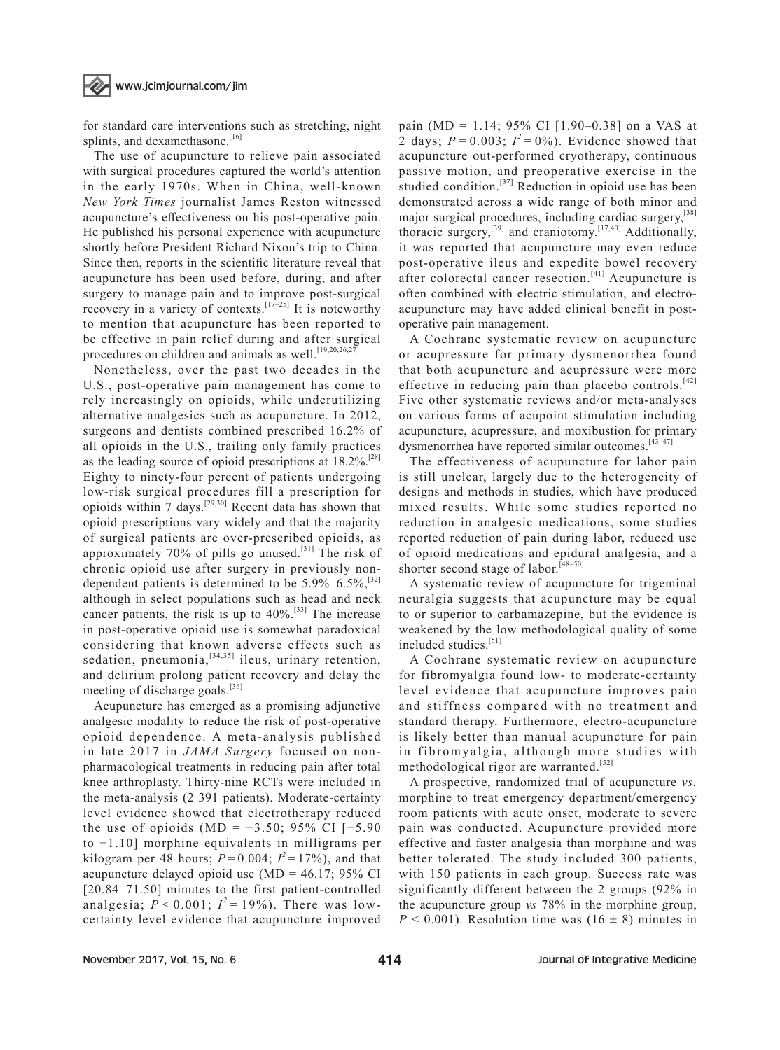#### www.jcimjournal.com/jim

for standard care interventions such as stretching, night splints, and dexamethasone.<sup>[16]</sup>

The use of acupuncture to relieve pain associated with surgical procedures captured the world's attention in the early 1970s. When in China, well-known *New York Times* journalist James Reston witnessed acupuncture's effectiveness on his post-operative pain. He published his personal experience with acupuncture shortly before President Richard Nixon's trip to China. Since then, reports in the scientific literature reveal that acupuncture has been used before, during, and after surgery to manage pain and to improve post-surgical recovery in a variety of contexts.<sup>[17–25]</sup> It is noteworthy to mention that acupuncture has been reported to be effective in pain relief during and after surgical procedures on children and animals as well.<sup>[19,20,26,27]</sup>

Nonetheless, over the past two decades in the U.S., post-operative pain management has come to rely increasingly on opioids, while underutilizing alternative analgesics such as acupuncture. In 2012, surgeons and dentists combined prescribed 16.2% of all opioids in the U.S., trailing only family practices as the leading source of opioid prescriptions at  $18.2\%$ .<sup>[28]</sup> Eighty to ninety-four percent of patients undergoing low-risk surgical procedures fill a prescription for opioids within 7 days.[29,30] Recent data has shown that opioid prescriptions vary widely and that the majority of surgical patients are over-prescribed opioids, as approximately 70% of pills go unused.<sup>[31]</sup> The risk of chronic opioid use after surgery in previously nondependent patients is determined to be  $5.9\% - 6.5\%$ ,  $^{[32]}$ although in select populations such as head and neck cancer patients, the risk is up to  $40\%$ <sup>[33]</sup> The increase in post-operative opioid use is somewhat paradoxical considering that known adverse effects such as sedation, pneumonia,  $[34,35]$  ileus, urinary retention, and delirium prolong patient recovery and delay the meeting of discharge goals.<sup>[36]</sup>

Acupuncture has emerged as a promising adjunctive analgesic modality to reduce the risk of post-operative opioid dependence. A meta-analysis published in late 2017 in *JAMA Surgery* focused on nonpharmacological treatments in reducing pain after total knee arthroplasty. Thirty-nine RCTs were included in the meta-analysis (2 391 patients). Moderate-certainty level evidence showed that electrotherapy reduced the use of opioids (MD =  $-3.50$ ; 95% CI [-5.90 to −1.10] morphine equivalents in milligrams per kilogram per 48 hours;  $P=0.004$ ;  $I^2=17\%$ ), and that acupuncture delayed opioid use  $(MD = 46.17; 95\% \text{ CI}$ [20.84–71.50] minutes to the first patient-controlled analgesia;  $P < 0.001$ ;  $I^2 = 19\%$ ). There was lowcertainty level evidence that acupuncture improved

pain (MD = 1.14; 95% CI  $[1.90-0.38]$  on a VAS at 2 days;  $P = 0.003$ ;  $I^2 = 0\%$ ). Evidence showed that acupuncture out-performed cryotherapy, continuous passive motion, and preoperative exercise in the studied condition.<sup>[37]</sup> Reduction in opioid use has been demonstrated across a wide range of both minor and major surgical procedures, including cardiac surgery,<sup>[38]</sup> thoracic surgery,<sup>[39]</sup> and craniotomy.<sup>[17,40]</sup> Additionally, it was reported that acupuncture may even reduce post-operative ileus and expedite bowel recovery after colorectal cancer resection. $[41]$  Acupuncture is often combined with electric stimulation, and electroacupuncture may have added clinical benefit in postoperative pain management.

A Cochrane systematic review on acupuncture or acupressure for primary dysmenorrhea found that both acupuncture and acupressure were more effective in reducing pain than placebo controls.<sup>[42]</sup> Five other systematic reviews and/or meta-analyses on various forms of acupoint stimulation including acupuncture, acupressure, and moxibustion for primary dysmenorrhea have reported similar outcomes.<sup>[43-47]</sup>

The effectiveness of acupuncture for labor pain is still unclear, largely due to the heterogeneity of designs and methods in studies, which have produced mixed results. While some studies reported no reduction in analgesic medications, some studies reported reduction of pain during labor, reduced use of opioid medications and epidural analgesia, and a shorter second stage of labor.<sup>[48-50]</sup>

A systematic review of acupuncture for trigeminal neuralgia suggests that acupuncture may be equal to or superior to carbamazepine, but the evidence is weakened by the low methodological quality of some included studies.[51]

A Cochrane systematic review on acupuncture for fibromyalgia found low- to moderate-certainty level evidence that acupuncture improves pain and stiffness compared with no treatment and standard therapy. Furthermore, electro-acupuncture is likely better than manual acupuncture for pain in fibromyalgia, although more studies with methodological rigor are warranted.<sup>[52]</sup>

A prospective, randomized trial of acupuncture *vs.*  morphine to treat emergency department/emergency room patients with acute onset, moderate to severe pain was conducted. Acupuncture provided more effective and faster analgesia than morphine and was better tolerated. The study included 300 patients, with 150 patients in each group. Success rate was significantly different between the 2 groups (92% in the acupuncture group *vs* 78% in the morphine group,  $P < 0.001$ ). Resolution time was (16  $\pm$  8) minutes in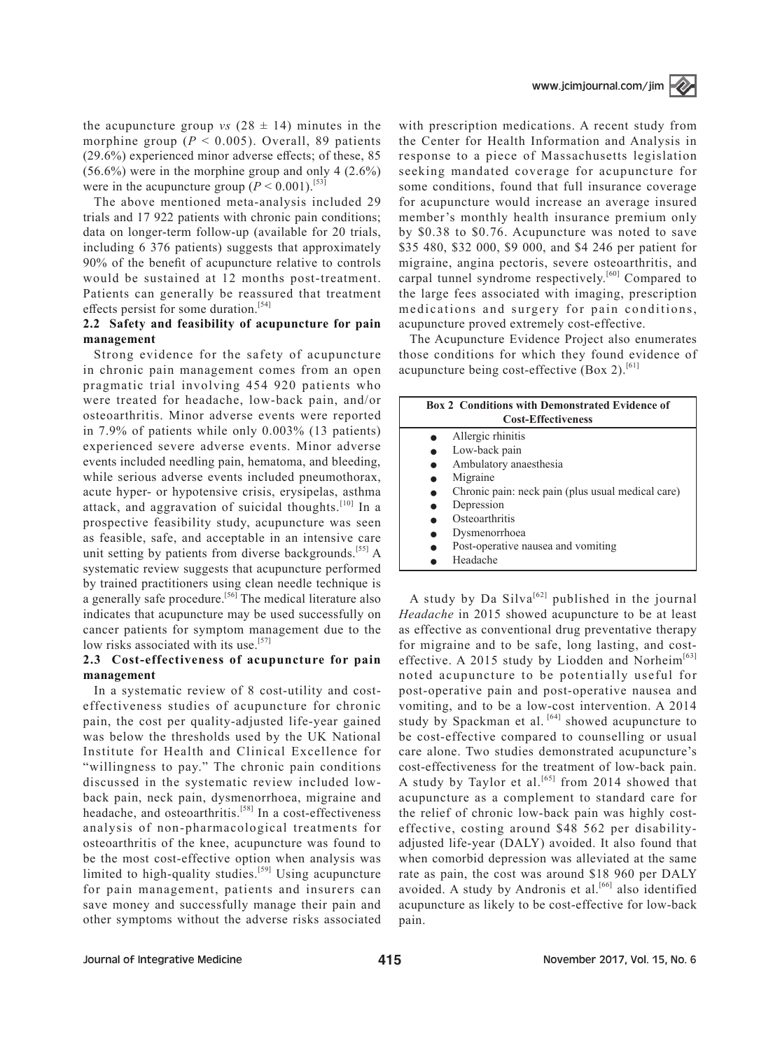the acupuncture group *vs*  $(28 \pm 14)$  minutes in the morphine group  $(P < 0.005)$ . Overall, 89 patients (29.6%) experienced minor adverse effects; of these, 85 (56.6%) were in the morphine group and only 4 (2.6%) were in the acupuncture group  $(P < 0.001)$ .<sup>[53]</sup>

The above mentioned meta-analysis included 29 trials and 17 922 patients with chronic pain conditions; data on longer-term follow-up (available for 20 trials, including 6 376 patients) suggests that approximately 90% of the benefit of acupuncture relative to controls would be sustained at 12 months post-treatment. Patients can generally be reassured that treatment effects persist for some duration.<sup>[54]</sup>

#### **2.2 Safety and feasibility of acupuncture for pain management**

Strong evidence for the safety of acupuncture in chronic pain management comes from an open pragmatic trial involving 454 920 patients who were treated for headache, low-back pain, and/or osteoarthritis. Minor adverse events were reported in 7.9% of patients while only 0.003% (13 patients) experienced severe adverse events. Minor adverse events included needling pain, hematoma, and bleeding, while serious adverse events included pneumothorax, acute hyper- or hypotensive crisis, erysipelas, asthma attack, and aggravation of suicidal thoughts.<sup>[10]</sup> In a prospective feasibility study, acupuncture was seen as feasible, safe, and acceptable in an intensive care unit setting by patients from diverse backgrounds.<sup>[55]</sup> A systematic review suggests that acupuncture performed by trained practitioners using clean needle technique is a generally safe procedure.<sup>[56]</sup> The medical literature also indicates that acupuncture may be used successfully on cancer patients for symptom management due to the low risks associated with its use.<sup>[57]</sup>

#### **2.3 Cost-effectiveness of acupuncture for pain management**

In a systematic review of 8 cost-utility and costeffectiveness studies of acupuncture for chronic pain, the cost per quality-adjusted life-year gained was below the thresholds used by the UK National Institute for Health and Clinical Excellence for "willingness to pay." The chronic pain conditions discussed in the systematic review included lowback pain, neck pain, dysmenorrhoea, migraine and headache, and osteoarthritis.<sup>[58]</sup> In a cost-effectiveness analysis of non-pharmacological treatments for osteoarthritis of the knee, acupuncture was found to be the most cost-effective option when analysis was limited to high-quality studies.<sup>[59]</sup> Using acupuncture for pain management, patients and insurers can save money and successfully manage their pain and other symptoms without the adverse risks associated with prescription medications. A recent study from the Center for Health Information and Analysis in response to a piece of Massachusetts legislation seeking mandated coverage for acupuncture for some conditions, found that full insurance coverage for acupuncture would increase an average insured member's monthly health insurance premium only by \$0.38 to \$0.76. Acupuncture was noted to save \$35 480, \$32 000, \$9 000, and \$4 246 per patient for migraine, angina pectoris, severe osteoarthritis, and carpal tunnel syndrome respectively.<sup>[60]</sup> Compared to the large fees associated with imaging, prescription medications and surgery for pain conditions, acupuncture proved extremely cost-effective.

The Acupuncture Evidence Project also enumerates those conditions for which they found evidence of acupuncture being cost-effective (Box 2).<sup>[61]</sup>

| <b>Box 2 Conditions with Demonstrated Evidence of</b><br><b>Cost-Effectiveness</b> |                                                   |
|------------------------------------------------------------------------------------|---------------------------------------------------|
|                                                                                    |                                                   |
| Allergic rhinitis                                                                  |                                                   |
| Low-back pain                                                                      |                                                   |
| Ambulatory anaesthesia                                                             |                                                   |
| Migraine                                                                           |                                                   |
|                                                                                    | Chronic pain: neck pain (plus usual medical care) |
| Depression                                                                         |                                                   |
| Osteoarthritis                                                                     |                                                   |
| Dysmenorrhoea                                                                      |                                                   |
| Post-operative nausea and vomiting                                                 |                                                   |
| Headache                                                                           |                                                   |

A study by Da Silva<sup>[62]</sup> published in the journal *Headache* in 2015 showed acupuncture to be at least as effective as conventional drug preventative therapy for migraine and to be safe, long lasting, and costeffective. A 2015 study by Liodden and Norheim<sup>[63]</sup> noted acupuncture to be potentially useful for post-operative pain and post-operative nausea and vomiting, and to be a low-cost intervention. A 2014 study by Spackman et al. [64] showed acupuncture to be cost-effective compared to counselling or usual care alone. Two studies demonstrated acupuncture's cost-effectiveness for the treatment of low-back pain. A study by Taylor et al.<sup>[65]</sup> from 2014 showed that acupuncture as a complement to standard care for the relief of chronic low-back pain was highly costeffective, costing around \$48 562 per disabilityadjusted life-year (DALY) avoided. It also found that when comorbid depression was alleviated at the same rate as pain, the cost was around \$18 960 per DALY avoided. A study by Andronis et al.<sup>[66]</sup> also identified acupuncture as likely to be cost-effective for low-back pain.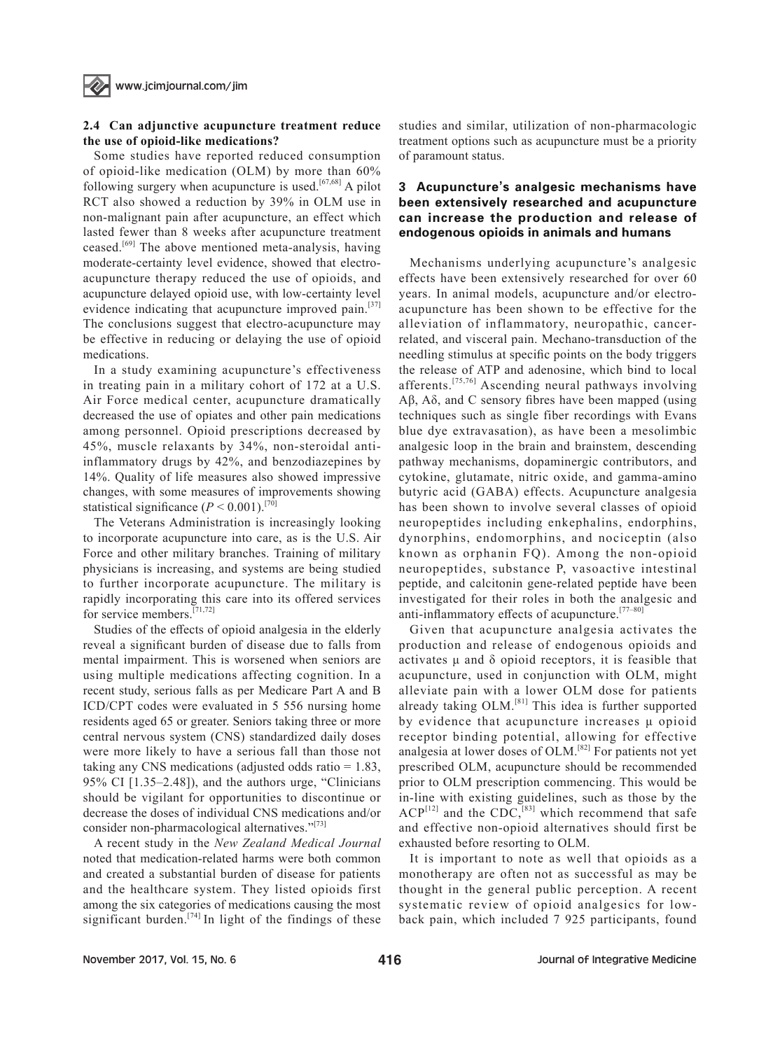#### **2.4 Can adjunctive acupuncture treatment reduce the use of opioid-like medications?**

Some studies have reported reduced consumption of opioid-like medication (OLM) by more than 60% following surgery when acupuncture is used.<sup>[67,68]</sup> A pilot RCT also showed a reduction by 39% in OLM use in non-malignant pain after acupuncture, an effect which lasted fewer than 8 weeks after acupuncture treatment ceased.<sup>[69]</sup> The above mentioned meta-analysis, having moderate-certainty level evidence, showed that electroacupuncture therapy reduced the use of opioids, and acupuncture delayed opioid use, with low-certainty level evidence indicating that acupuncture improved pain.<sup>[37]</sup> The conclusions suggest that electro-acupuncture may be effective in reducing or delaying the use of opioid medications.

In a study examining acupuncture's effectiveness in treating pain in a military cohort of 172 at a U.S. Air Force medical center, acupuncture dramatically decreased the use of opiates and other pain medications among personnel. Opioid prescriptions decreased by 45%, muscle relaxants by 34%, non-steroidal antiinflammatory drugs by 42%, and benzodiazepines by 14%. Quality of life measures also showed impressive changes, with some measures of improvements showing statistical significance  $(P < 0.001)$ .<sup>[70]</sup>

The Veterans Administration is increasingly looking to incorporate acupuncture into care, as is the U.S. Air Force and other military branches. Training of military physicians is increasing, and systems are being studied to further incorporate acupuncture. The military is rapidly incorporating this care into its offered services for service members.[71,72]

Studies of the effects of opioid analgesia in the elderly reveal a significant burden of disease due to falls from mental impairment. This is worsened when seniors are using multiple medications affecting cognition. In a recent study, serious falls as per Medicare Part A and B ICD/CPT codes were evaluated in 5 556 nursing home residents aged 65 or greater. Seniors taking three or more central nervous system (CNS) standardized daily doses were more likely to have a serious fall than those not taking any CNS medications (adjusted odds ratio = 1.83, 95% CI [1.35–2.48]), and the authors urge, "Clinicians should be vigilant for opportunities to discontinue or decrease the doses of individual CNS medications and/or consider non-pharmacological alternatives."[73]

A recent study in the *New Zealand Medical Journal*  noted that medication-related harms were both common and created a substantial burden of disease for patients and the healthcare system. They listed opioids first among the six categories of medications causing the most significant burden.<sup>[74]</sup> In light of the findings of these studies and similar, utilization of non-pharmacologic treatment options such as acupuncture must be a priority of paramount status.

#### 3 Acupuncture**'**s analgesic mechanisms have been extensively researched and acupuncture can increase the production and release of endogenous opioids in animals and humans

Mechanisms underlying acupuncture's analgesic effects have been extensively researched for over 60 years. In animal models, acupuncture and/or electroacupuncture has been shown to be effective for the alleviation of inflammatory, neuropathic, cancerrelated, and visceral pain. Mechano-transduction of the needling stimulus at specific points on the body triggers the release of ATP and adenosine, which bind to local afferents.[75,76] Ascending neural pathways involving Aβ, Aδ, and C sensory fibres have been mapped (using techniques such as single fiber recordings with Evans blue dye extravasation), as have been a mesolimbic analgesic loop in the brain and brainstem, descending pathway mechanisms, dopaminergic contributors, and cytokine, glutamate, nitric oxide, and gamma-amino butyric acid (GABA) effects. Acupuncture analgesia has been shown to involve several classes of opioid neuropeptides including enkephalins, endorphins, dynorphins, endomorphins, and nociceptin (also known as orphanin FQ). Among the non-opioid neuropeptides, substance P, vasoactive intestinal peptide, and calcitonin gene-related peptide have been investigated for their roles in both the analgesic and anti-inflammatory effects of acupuncture.[77–80]

Given that acupuncture analgesia activates the production and release of endogenous opioids and activates  $\mu$  and  $\delta$  opioid receptors, it is feasible that acupuncture, used in conjunction with OLM, might alleviate pain with a lower OLM dose for patients already taking OLM.[81] This idea is further supported by evidence that acupuncture increases μ opioid receptor binding potential, allowing for effective analgesia at lower doses of OLM.<sup>[82]</sup> For patients not yet prescribed OLM, acupuncture should be recommended prior to OLM prescription commencing. This would be in-line with existing guidelines, such as those by the  $ACP^{[12]}$  and the CDC,<sup>[83]</sup> which recommend that safe and effective non-opioid alternatives should first be exhausted before resorting to OLM.

It is important to note as well that opioids as a monotherapy are often not as successful as may be thought in the general public perception. A recent systematic review of opioid analgesics for lowback pain, which included 7 925 participants, found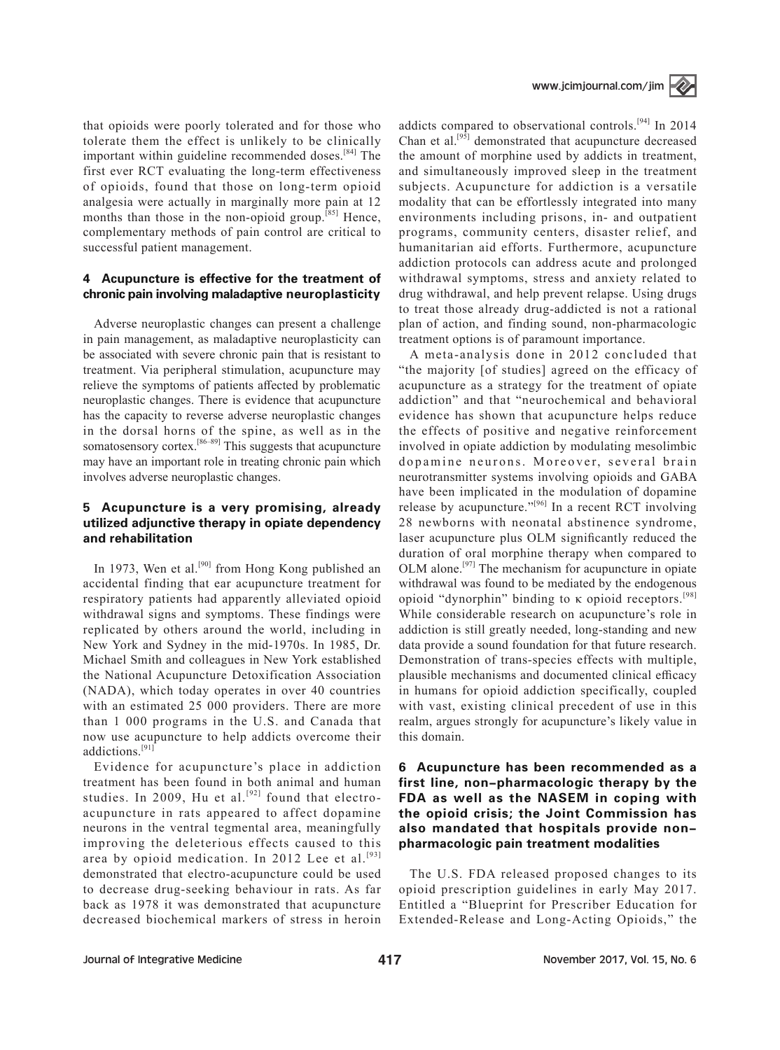that opioids were poorly tolerated and for those who tolerate them the effect is unlikely to be clinically important within guideline recommended doses.<sup>[84]</sup> The first ever RCT evaluating the long-term effectiveness of opioids, found that those on long-term opioid analgesia were actually in marginally more pain at 12 months than those in the non-opioid group.<sup>[85]</sup> Hence, complementary methods of pain control are critical to successful patient management.

#### 4 Acupuncture is effective for the treatment of chronic pain involving maladaptive neuroplasticity

Adverse neuroplastic changes can present a challenge in pain management, as maladaptive neuroplasticity can be associated with severe chronic pain that is resistant to treatment. Via peripheral stimulation, acupuncture may relieve the symptoms of patients affected by problematic neuroplastic changes. There is evidence that acupuncture has the capacity to reverse adverse neuroplastic changes in the dorsal horns of the spine, as well as in the somatosensory cortex.<sup>[86–89]</sup> This suggests that acupuncture may have an important role in treating chronic pain which involves adverse neuroplastic changes.

#### 5 Acupuncture is a very promising, already utilized adjunctive therapy in opiate dependency and rehabilitation

In 1973, Wen et al.<sup>[90]</sup> from Hong Kong published an accidental finding that ear acupuncture treatment for respiratory patients had apparently alleviated opioid withdrawal signs and symptoms. These findings were replicated by others around the world, including in New York and Sydney in the mid-1970s. In 1985, Dr. Michael Smith and colleagues in New York established the National Acupuncture Detoxification Association (NADA), which today operates in over 40 countries with an estimated 25 000 providers. There are more than 1 000 programs in the U.S. and Canada that now use acupuncture to help addicts overcome their addictions.[91]

Evidence for acupuncture's place in addiction treatment has been found in both animal and human studies. In 2009, Hu et al.<sup>[92]</sup> found that electroacupuncture in rats appeared to affect dopamine neurons in the ventral tegmental area, meaningfully improving the deleterious effects caused to this area by opioid medication. In 2012 Lee et al.<sup>[93]</sup> demonstrated that electro-acupuncture could be used to decrease drug-seeking behaviour in rats. As far back as 1978 it was demonstrated that acupuncture decreased biochemical markers of stress in heroin

addicts compared to observational controls.[94] In 2014 Chan et al.<sup>[95]</sup> demonstrated that acupuncture decreased the amount of morphine used by addicts in treatment, and simultaneously improved sleep in the treatment subjects. Acupuncture for addiction is a versatile modality that can be effortlessly integrated into many environments including prisons, in- and outpatient programs, community centers, disaster relief, and humanitarian aid efforts. Furthermore, acupuncture addiction protocols can address acute and prolonged withdrawal symptoms, stress and anxiety related to drug withdrawal, and help prevent relapse. Using drugs to treat those already drug-addicted is not a rational plan of action, and finding sound, non-pharmacologic treatment options is of paramount importance.

A meta-analysis done in 2012 concluded that "the majority [of studies] agreed on the efficacy of acupuncture as a strategy for the treatment of opiate addiction" and that "neurochemical and behavioral evidence has shown that acupuncture helps reduce the effects of positive and negative reinforcement involved in opiate addiction by modulating mesolimbic dopamine neurons. Moreover, several brain neurotransmitter systems involving opioids and GABA have been implicated in the modulation of dopamine release by acupuncture."<sup>[96]</sup> In a recent RCT involving 28 newborns with neonatal abstinence syndrome, laser acupuncture plus OLM significantly reduced the duration of oral morphine therapy when compared to OLM alone.[97] The mechanism for acupuncture in opiate withdrawal was found to be mediated by the endogenous opioid "dynorphin" binding to κ opioid receptors.<sup>[98]</sup> While considerable research on acupuncture's role in addiction is still greatly needed, long-standing and new data provide a sound foundation for that future research. Demonstration of trans-species effects with multiple, plausible mechanisms and documented clinical efficacy in humans for opioid addiction specifically, coupled with vast, existing clinical precedent of use in this realm, argues strongly for acupuncture's likely value in this domain.

#### 6 Acupuncture has been recommended as a first line, non-pharmacologic therapy by the FDA as well as the NASEM in coping with the opioid crisis; the Joint Commission has also mandated that hospitals provide nonpharmacologic pain treatment modalities

The U.S. FDA released proposed changes to its opioid prescription guidelines in early May 2017. Entitled a "Blueprint for Prescriber Education for Extended-Release and Long-Acting Opioids," the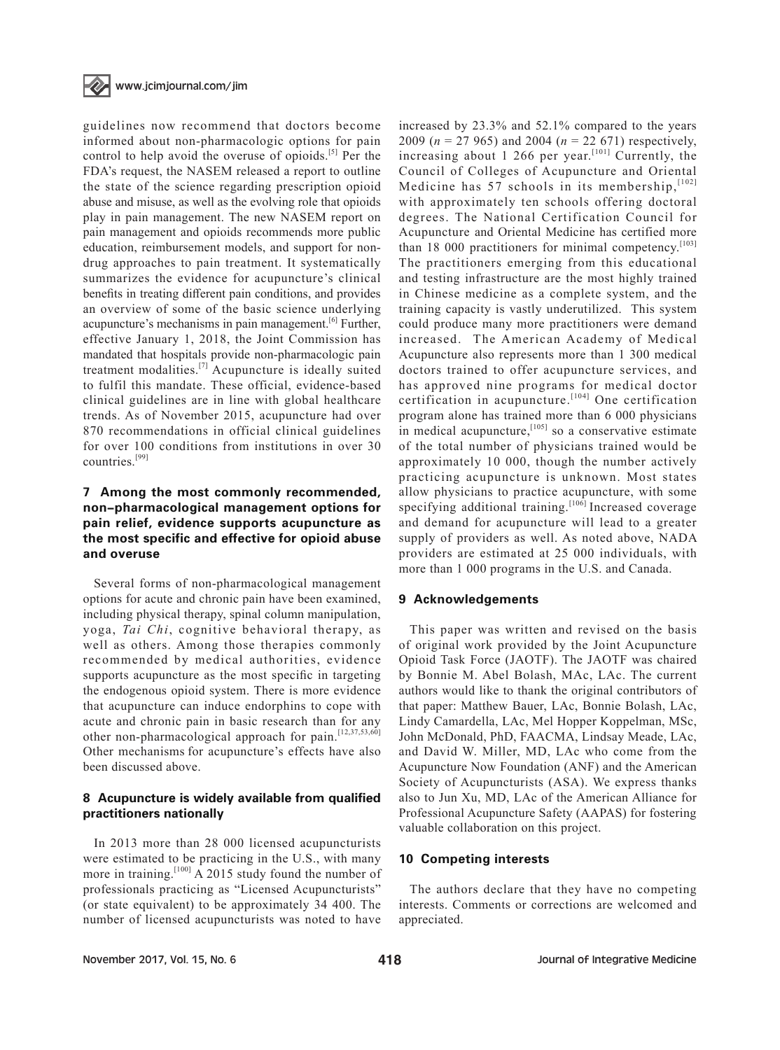

guidelines now recommend that doctors become informed about non-pharmacologic options for pain control to help avoid the overuse of opioids.<sup>[5]</sup> Per the FDA's request, the NASEM released a report to outline the state of the science regarding prescription opioid abuse and misuse, as well as the evolving role that opioids play in pain management. The new NASEM report on pain management and opioids recommends more public education, reimbursement models, and support for nondrug approaches to pain treatment. It systematically summarizes the evidence for acupuncture's clinical benefits in treating different pain conditions, and provides an overview of some of the basic science underlying acupuncture's mechanisms in pain management.<sup>[6]</sup> Further, effective January 1, 2018, the Joint Commission has mandated that hospitals provide non-pharmacologic pain treatment modalities. $^{[7]}$  Acupuncture is ideally suited to fulfil this mandate. These official, evidence-based clinical guidelines are in line with global healthcare trends. As of November 2015, acupuncture had over 870 recommendations in official clinical guidelines for over 100 conditions from institutions in over 30 countries.[99]

#### 7 Among the most commonly recommended, non-pharmacological management options for pain relief, evidence supports acupuncture as the most specific and effective for opioid abuse and overuse

Several forms of non-pharmacological management options for acute and chronic pain have been examined, including physical therapy, spinal column manipulation, yoga, *Tai Chi*, cognitive behavioral therapy, as well as others. Among those therapies commonly recommended by medical authorities, evidence supports acupuncture as the most specific in targeting the endogenous opioid system. There is more evidence that acupuncture can induce endorphins to cope with acute and chronic pain in basic research than for any other non-pharmacological approach for pain.<sup>[12,37,53,60]</sup> Other mechanisms for acupuncture's effects have also been discussed above.

#### 8 Acupuncture is widely available from qualified practitioners nationally

In 2013 more than 28 000 licensed acupuncturists were estimated to be practicing in the U.S., with many more in training.<sup>[100]</sup> A 2015 study found the number of professionals practicing as "Licensed Acupuncturists" (or state equivalent) to be approximately 34 400. The number of licensed acupuncturists was noted to have

increased by 23.3% and 52.1% compared to the years 2009 (*n* = 27 965) and 2004 (*n* = 22 671) respectively, increasing about 1 266 per year.<sup>[101]</sup> Currently, the Council of Colleges of Acupuncture and Oriental Medicine has 57 schools in its membership,  $[102]$ with approximately ten schools offering doctoral degrees. The National Certification Council for Acupuncture and Oriental Medicine has certified more than 18 000 practitioners for minimal competency.<sup>[103]</sup> The practitioners emerging from this educational and testing infrastructure are the most highly trained in Chinese medicine as a complete system, and the training capacity is vastly underutilized. This system could produce many more practitioners were demand increased. The American Academy of Medical Acupuncture also represents more than 1 300 medical doctors trained to offer acupuncture services, and has approved nine programs for medical doctor certification in acupuncture.<sup>[104]</sup> One certification program alone has trained more than 6 000 physicians in medical acupuncture, $[105]$  so a conservative estimate of the total number of physicians trained would be approximately 10 000, though the number actively practicing acupuncture is unknown. Most states allow physicians to practice acupuncture, with some specifying additional training.<sup>[106]</sup> Increased coverage and demand for acupuncture will lead to a greater supply of providers as well. As noted above, NADA providers are estimated at 25 000 individuals, with more than 1 000 programs in the U.S. and Canada.

#### 9 Acknowledgements

This paper was written and revised on the basis of original work provided by the Joint Acupuncture Opioid Task Force (JAOTF). The JAOTF was chaired by Bonnie M. Abel Bolash, MAc, LAc. The current authors would like to thank the original contributors of that paper: Matthew Bauer, LAc, Bonnie Bolash, LAc, Lindy Camardella, LAc, Mel Hopper Koppelman, MSc, John McDonald, PhD, FAACMA, Lindsay Meade, LAc, and David W. Miller, MD, LAc who come from the Acupuncture Now Foundation (ANF) and the American Society of Acupuncturists (ASA). We express thanks also to Jun Xu, MD, LAc of the American Alliance for Professional Acupuncture Safety (AAPAS) for fostering valuable collaboration on this project.

#### 10 Competing interests

The authors declare that they have no competing interests. Comments or corrections are welcomed and appreciated.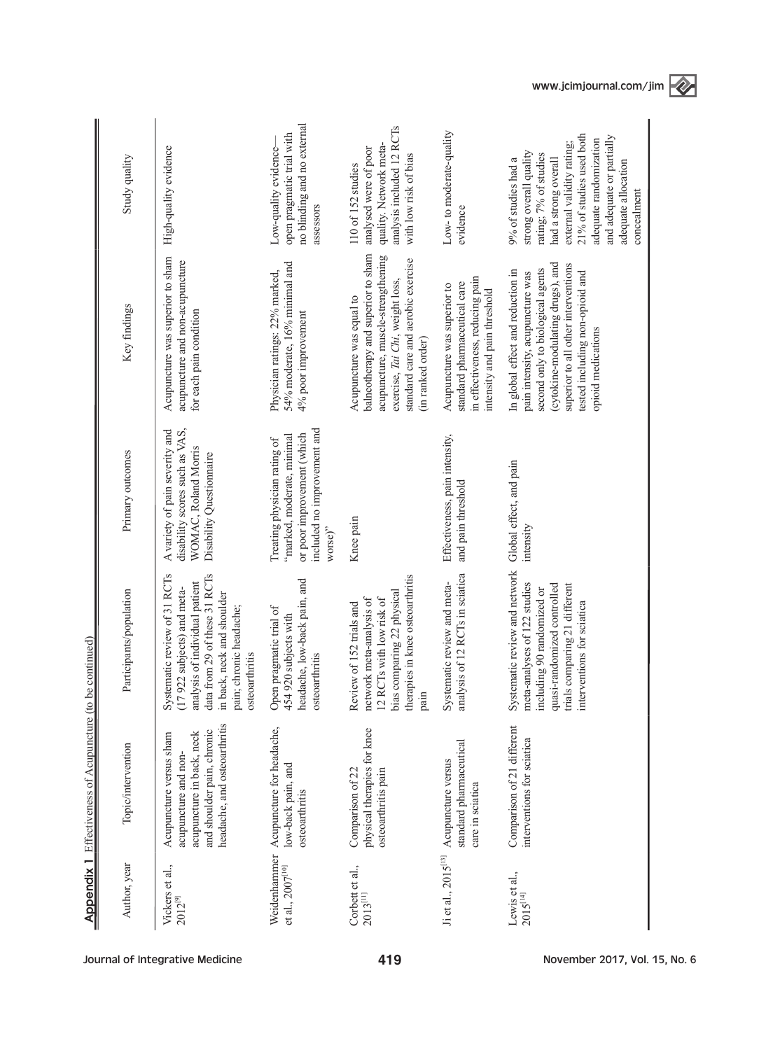|                                       | <b>Appendix 1</b> Effectiveness of Acupuncture (to be                                                                                      | continued)                                                                                                                                                                                                |                                                                                                                                    |                                                                                                                                                                                                                                              |                                                                                                                                                                                                                                                      |
|---------------------------------------|--------------------------------------------------------------------------------------------------------------------------------------------|-----------------------------------------------------------------------------------------------------------------------------------------------------------------------------------------------------------|------------------------------------------------------------------------------------------------------------------------------------|----------------------------------------------------------------------------------------------------------------------------------------------------------------------------------------------------------------------------------------------|------------------------------------------------------------------------------------------------------------------------------------------------------------------------------------------------------------------------------------------------------|
| Author, year                          | Topic/intervention                                                                                                                         | articipants/population                                                                                                                                                                                    | Primary outcomes                                                                                                                   | Key findings                                                                                                                                                                                                                                 | Study quality                                                                                                                                                                                                                                        |
| Vickers et al.,<br>$2012^{[9]}$       | headache, and osteoarthritis<br>and shoulder pain, chronic<br>acupuncture in back, neck<br>Acupuncture versus sham<br>acupuncture and non- | data from 29 of these 31 RCTs<br>Systematic review of 31 RCTs<br>analysis of individual patient<br>(17 922 subjects) and meta-<br>in back, neck and shoulder<br>pain; chronic headache;<br>osteoarthritis | disability scores such as VAS,<br>A variety of pain severity and<br>WOMAC, Roland Morris<br>Disability Questionnaire               | Acupuncture was superior to sham<br>acupuncture and non-acupuncture<br>for each pain condition                                                                                                                                               | High-quality evidence                                                                                                                                                                                                                                |
| Weidenhammer<br>et al., $2007^{[10]}$ | Acupuncture for headache,<br>low-back pain, and<br>osteoarthritis                                                                          | headache, low-back pain, and<br>pragmatic trial of<br>454 920 subjects with<br>osteoarthritis<br>Open                                                                                                     | included no improvement and<br>or poor improvement (which<br>"marked, moderate, minimal<br>Treating physician rating of<br>worse)" | 54% moderate, 16% minimal and<br>Physician ratings: 22% marked,<br>4% poor improvement                                                                                                                                                       | no blinding and no external<br>open pragmatic trial with<br>Low-quality evidence-<br>assessors                                                                                                                                                       |
| Corbett et al.,<br>$2013^{\rm [11]}$  | physical therapies for knee<br>Comparison of 22<br>osteoarthritis pain                                                                     | therapies in knee osteoarthritis<br>bias comparing 22 physical<br>12 RCTs with low risk of<br>network meta-analysis of<br>Review of 152 trials and<br>pain                                                | Knee pain                                                                                                                          | balneotherapy and superior to sham<br>acupuncture, muscle-strengthening<br>standard care and aerobic exercise<br>exercise, Tai Chi, weight loss,<br>Acupuncture was equal to<br>(in ranked order)                                            | analysis included 12 RCTs<br>quality. Network meta-<br>analysed were of poor<br>with low risk of bias<br>110 of 152 studies                                                                                                                          |
| Ji et al., 2015[13]                   | standard pharmaceutical<br>Acupuncture versus<br>care in sciatica                                                                          | analysis of 12 RCTs in sciatica<br>Systematic review and meta-                                                                                                                                            | Effectiveness, pain intensity,<br>and pain threshold                                                                               | in effectiveness, reducing pain<br>standard pharmaceutical care<br>Acupuncture was superior to<br>intensity and pain threshold                                                                                                               | Low-to moderate-quality<br>evidence                                                                                                                                                                                                                  |
| Lewis et al.,<br>$2015^{[14]}$        | Comparison of 21 different<br>interventions for sciatica                                                                                   | Systematic review and network<br>meta-analyses of 122 studies<br>quasi-randomized controlled<br>trials comparing 21 different<br>including 90 randomized or<br>entions for sciatica<br>interv             | Global effect, and pain<br>intensity                                                                                               | (cytokine-modulating drugs), and<br>superior to all other interventions<br>second only to biological agents<br>In global effect and reduction in<br>tested including non-opioid and<br>pain intensity, acupuncture was<br>opioid medications | 21% of studies used both<br>and adequate or partially<br>adequate randomization<br>external validity rating;<br>strong overall quality<br>rating; 7% of studies<br>9% of studies had a<br>had a strong overall<br>adequate allocation<br>concealment |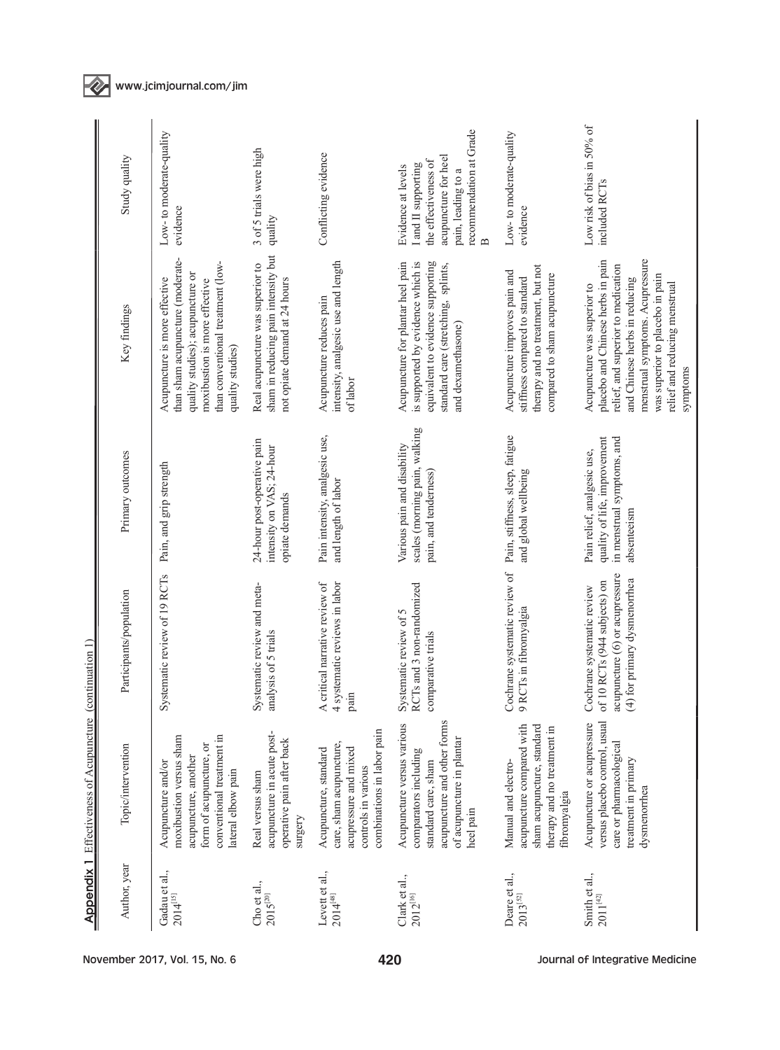| November 2017, Vol. 15, No. 6                                                                                                                                                               |                                                                                                                              |                                                                                                                                | 420                                                                                                                                                                      |                                                                                                                                      | Journal of Integrative Medicine                                                                                                                                                                                                                            |
|---------------------------------------------------------------------------------------------------------------------------------------------------------------------------------------------|------------------------------------------------------------------------------------------------------------------------------|--------------------------------------------------------------------------------------------------------------------------------|--------------------------------------------------------------------------------------------------------------------------------------------------------------------------|--------------------------------------------------------------------------------------------------------------------------------------|------------------------------------------------------------------------------------------------------------------------------------------------------------------------------------------------------------------------------------------------------------|
| Author, year<br>Gadau et al.,<br>$2014^{[15]}$                                                                                                                                              | Cho et al.,<br>$2015^{[20]}$                                                                                                 | Levett et al.,<br>$2014^{[48]}$                                                                                                | Clark et al.,<br>2012[16]                                                                                                                                                | Deare et al.,<br>$2013^{[52]}$                                                                                                       | Smith et al.,<br>$2011^{[42]}$                                                                                                                                                                                                                             |
| conventional treatment in<br>moxibustion versus sham<br>form of acupuncture, or<br>Topic/intervention<br>acupuncture, another<br>Acupuncture and/or                                         | acupuncture in acute post-<br>operative pain after back<br>lateral elbow pain<br>Real versus sham<br>surgery                 | combinations in labor pain<br>care, sham acupuncture,<br>acupressure and mixed<br>Acupuncture, standard<br>controls in various | acupuncture and other forms<br>Acupuncture versus various<br>of acupuncture in plantar<br>comparators including<br>standard care, sham<br>heel pain                      | acupuncture compared with<br>sham acupuncture, standard<br>therapy and no treatment in<br>Manual and electro-<br>fibromyalgia        | versus placebo control, usual<br>Acupuncture or acupressure<br>care or pharmacological<br>treatment in primary<br>dysmenorrhea                                                                                                                             |
| Systematic review of 19 RCTs<br>Participants/population                                                                                                                                     | Systematic review and meta-<br>analysis of 5 trials                                                                          | 4 systematic reviews in labor<br>A critical narrative review of<br>pain                                                        | RCTs and 3 non-randomized<br>Systematic review of 5<br>comparative trials                                                                                                | Cochrane systematic review of<br>9 RCTs in fibromyalgia                                                                              | acupuncture (6) or acupressure<br>(4) for primary dysmenorrhea<br>RCTs (944 subjects) on<br>Cochrane systematic review<br>of 10                                                                                                                            |
| Primary outcomes<br>Pain, and grip strength                                                                                                                                                 | 24-hour post-operative pain<br>intensity on VAS; 24-hour<br>opiate demands                                                   | Pain intensity, analgesic use,<br>and length of labor                                                                          | scales (morning pain, walking<br>Various pain and disability<br>pain, and tenderness)                                                                                    | Pain, stiffness, sleep, fatigue<br>and global wellbeing                                                                              | quality of life, improvement<br>in menstrual symptoms, and<br>Pain relief, analgesic use,<br>absenteeism                                                                                                                                                   |
| than sham acupuncture (moderate-<br>than conventional treatment (low-<br>quality studies); acupuncture or<br>Acupuncture is more effective<br>moxibustion is more effective<br>Key findings | sham in reducing pain intensity but<br>Real acupuncture was superior to<br>not opiate demand at 24 hours<br>quality studies) | intensity, analgesic use and length<br>Acupuncture reduces pain<br>of labor                                                    | is supported by evidence which is<br>Acupuncture for plantar heel pain<br>equivalent to evidence supporting<br>standard care (stretching, splints,<br>and dexamethasone) | therapy and no treatment, but not<br>Acupuncture improves pain and<br>compared to sham acupuncture<br>stiffness compared to standard | menstrual symptoms. Acupressure<br>placebo and Chinese herbs in pain<br>relief, and superior to medication<br>was superior to placebo in pain<br>and Chinese herbs in reducing<br>relief and reducing menstrual<br>Acupuncture was superior to<br>symptoms |
| Low-to moderate-quality<br>Study quality<br>evidence                                                                                                                                        | 3 of 5 trials were high<br>quality                                                                                           | Conflicting evidence                                                                                                           | recommendation at Grade<br>acupuncture for heel<br>the effectiveness of<br>I and II supporting<br>Evidence at levels<br>pain, leading to a<br>$\mathbf{a}$               | Low-to moderate-quality<br>evidence                                                                                                  | Low risk of bias in 50% of<br>included RCTs                                                                                                                                                                                                                |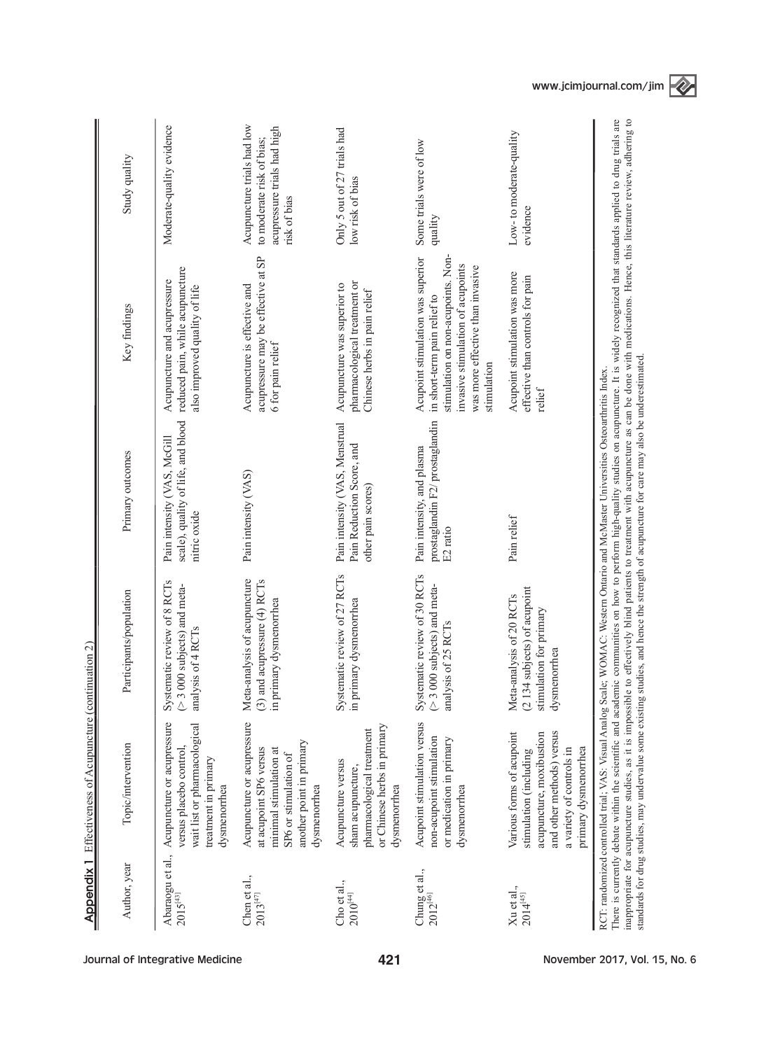|                                          | <b>Appendix 1</b> Effectiveness of Acupuncture (continuation 2)                                                                                                  |                                                                                                    |                                                                                                                                                                                                                                                                                    |                                                                                                                                                                                                                                                                                    |                                                                                                        |
|------------------------------------------|------------------------------------------------------------------------------------------------------------------------------------------------------------------|----------------------------------------------------------------------------------------------------|------------------------------------------------------------------------------------------------------------------------------------------------------------------------------------------------------------------------------------------------------------------------------------|------------------------------------------------------------------------------------------------------------------------------------------------------------------------------------------------------------------------------------------------------------------------------------|--------------------------------------------------------------------------------------------------------|
| Author, year                             | Topic/intervention                                                                                                                                               | Participants/population                                                                            | Primary outcomes                                                                                                                                                                                                                                                                   | Key findings                                                                                                                                                                                                                                                                       | Study quality                                                                                          |
| Abaraogu et al.,<br>2015 <sup>[43]</sup> | Acupuncture or acupressure<br>wait list or pharmacological<br>versus placebo control<br>treatment in primary<br>dysmenorrhea                                     | Systematic review of 8 RCTs<br>$($ > 3 000 subjects) and meta-<br>analysis of 4 RCTs               | scale), quality of life, and blood<br>Pain intensity (VAS, McGill<br>nitric oxide                                                                                                                                                                                                  | reduced pain, while acupuncture<br>Acupuncture and acupressure<br>also improved quality of life                                                                                                                                                                                    | Moderate-quality evidence                                                                              |
| Chen et al.,<br>$2013^{\left[47\right]}$ | Acupuncture or acupressure<br>another point in primary<br>at acupoint SP6 versus<br>minimal stimulation at<br>SP6 or stimulation of<br>dysmenorrhea              | Meta-analysis of acupuncture<br>(3) and acupressure (4) RCTs<br>in primary dysmenorrhea            | Pain intensity (VAS)                                                                                                                                                                                                                                                               | acupressure may be effective at SP<br>Acupuncture is effective and<br>6 for pain relief                                                                                                                                                                                            | Acupuncture trials had low<br>acupressure trials had high<br>to moderate risk of bias;<br>risk of bias |
| Cho et al.,<br>$2010^{[44]}$             | or Chinese herbs in primary<br>pharmacological treatment<br>Acupuncture versus<br>sham acupuncture,<br>dysmenorrhea                                              | Systematic review of 27 RCTs<br>in primary dysmenorrhea                                            | Pain intensity (VAS, Menstrual<br>Pain Reduction Score, and<br>other pain scores)                                                                                                                                                                                                  | pharmacological treatment or<br>Acupuncture was superior to<br>Chinese herbs in pain relief                                                                                                                                                                                        | Only 5 out of 27 trials had<br>low risk of bias                                                        |
| Chung et al.,<br>$2012^{[46]}$           | Acupoint stimulation versus<br>non-acupoint stimulation<br>or medication in primary<br>dysmenorrhea                                                              | Systematic review of 30 RCTs<br>$(>3,000,00)$ subjects) and meta-<br>analysis of 25 RCTs           | prostaglandin F2/ prostaglandin<br>Pain intensity, and plasma<br>$\mathrm{E2}$ ratio                                                                                                                                                                                               | stimulation on non-acupoints. Non-<br>Acupoint stimulation was superior<br>invasive stimulation of acupoints<br>was more effective than invasive<br>in short-term pain relief to<br>stimulation                                                                                    | Some trials were of low<br>quality                                                                     |
| Xu et al.,<br>$2014^{[45]}$              | and other methods) versus<br>Various forms of acupoint<br>acupuncture, moxibustion<br>primary dysmenorrhea<br>a variety of controls in<br>stimulation (including | (2134 subjects) of acupoint<br>Meta-analysis of 20 RCTs<br>stimulation for primary<br>dysmenorrhea | Pain relief                                                                                                                                                                                                                                                                        | Acupoint stimulation was more<br>effective than controls for pain<br>relief                                                                                                                                                                                                        | Low-to moderate-quality<br>evidence                                                                    |
|                                          | There is currently debate within the scientific and academi<br>inappropriate for acupuncture studies, as it is impossible                                        |                                                                                                    | standards for drug studies, may undervalue some existing studies, and hence the strength of acupuncture for care may also be underestimated.<br>RCT: randomized controlled trial; VAS: Visual Analog Scale; WOMAC: Western Ontario and McMaster Universities Osteoarthritis Index. | ic communities on how to perform high-quality studies on acupuncture. It is widely recognized that standards applied to drug trials are<br>to effectively blind patients to treatment with acupuncture as can be done with medications. Hence, this literature review, adhering to |                                                                                                        |



Journal of Integrative Medicine and ACT Analysis of the 421 Above Movember 2017, Vol. 15, No. 6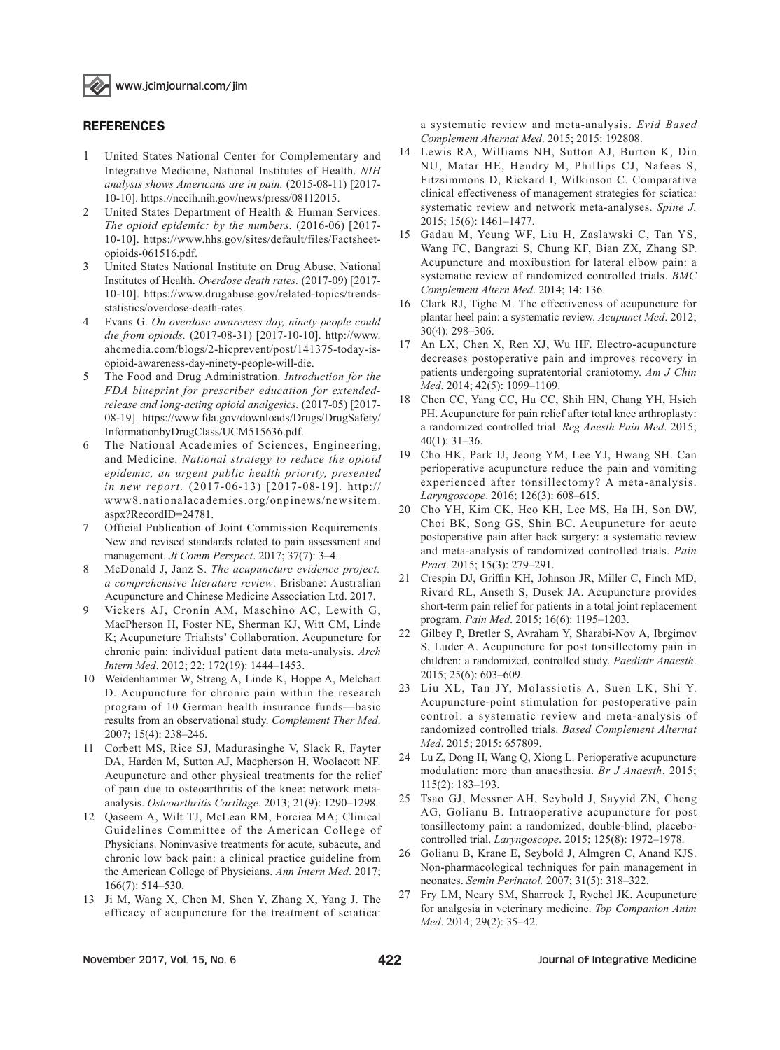

#### **REFERENCES**

- 1 United States National Center for Complementary and Integrative Medicine, National Institutes of Health. *NIH analysis shows Americans are in pain.* (2015-08-11) [2017- 10-10]. https://nccih.nih.gov/news/press/08112015.
- 2 United States Department of Health & Human Services. *The opioid epidemic: by the numbers.* (2016-06) [2017- 10-10]. https://www.hhs.gov/sites/default/files/Factsheetopioids-061516.pdf.
- 3 United States National Institute on Drug Abuse, National Institutes of Health. *Overdose death rates.* (2017-09) [2017- 10-10]. https://www.drugabuse.gov/related-topics/trendsstatistics/overdose-death-rates.
- 4 Evans G. *On overdose awareness day, ninety people could die from opioids.* (2017-08-31) [2017-10-10]. http://www. ahcmedia.com/blogs/2-hicprevent/post/141375-today-isopioid-awareness-day-ninety-people-will-die.
- 5 The Food and Drug Administration. *Introduction for the FDA blueprint for prescriber education for extendedrelease and long-acting opioid analgesics.* (2017-05) [2017- 08-19]. https://www.fda.gov/downloads/Drugs/DrugSafety/ InformationbyDrugClass/UCM515636.pdf.
- 6 The National Academies of Sciences, Engineering, and Medicine. *National strategy to reduce the opioid epidemic, an urgent public health priority, presented in new report.* (2017-06-13) [2017-08-19]. http:// www8.nationalacademies.org/onpinews/newsitem. aspx?RecordID=24781.
- 7 Official Publication of Joint Commission Requirements. New and revised standards related to pain assessment and management. *Jt Comm Perspect*. 2017; 37(7): 3–4.
- 8 McDonald J, Janz S. *The acupuncture evidence project: a comprehensive literature review*. Brisbane: Australian Acupuncture and Chinese Medicine Association Ltd. 2017.
- 9 Vickers AJ, Cronin AM, Maschino AC, Lewith G, MacPherson H, Foster NE, Sherman KJ, Witt CM, Linde K; Acupuncture Trialists' Collaboration. Acupuncture for chronic pain: individual patient data meta-analysis. *Arch Intern Med*. 2012; 22; 172(19): 1444–1453.
- 10 Weidenhammer W, Streng A, Linde K, Hoppe A, Melchart D. Acupuncture for chronic pain within the research program of 10 German health insurance funds—basic results from an observational study. *Complement Ther Med*. 2007; 15(4): 238–246.
- 11 Corbett MS, Rice SJ, Madurasinghe V, Slack R, Fayter DA, Harden M, Sutton AJ, Macpherson H, Woolacott NF. Acupuncture and other physical treatments for the relief of pain due to osteoarthritis of the knee: network metaanalysis. *Osteoarthritis Cartilage*. 2013; 21(9): 1290–1298.
- 12 Qaseem A, Wilt TJ, McLean RM, Forciea MA; Clinical Guidelines Committee of the American College of Physicians. Noninvasive treatments for acute, subacute, and chronic low back pain: a clinical practice guideline from the American College of Physicians. *Ann Intern Med*. 2017; 166(7): 514–530.
- 13 Ji M, Wang X, Chen M, Shen Y, Zhang X, Yang J. The efficacy of acupuncture for the treatment of sciatica:

a systematic review and meta-analysis. *Evid Based Complement Alternat Med*. 2015; 2015: 192808.

- 14 Lewis RA, Williams NH, Sutton AJ, Burton K, Din NU, Matar HE, Hendry M, Phillips CJ, Nafees S, Fitzsimmons D, Rickard I, Wilkinson C. Comparative clinical effectiveness of management strategies for sciatica: systematic review and network meta-analyses. *Spine J.*  2015; 15(6): 1461–1477.
- 15 Gadau M, Yeung WF, Liu H, Zaslawski C, Tan YS, Wang FC, Bangrazi S, Chung KF, Bian ZX, Zhang SP. Acupuncture and moxibustion for lateral elbow pain: a systematic review of randomized controlled trials. *BMC Complement Altern Med*. 2014; 14: 136.
- 16 Clark RJ, Tighe M. The effectiveness of acupuncture for plantar heel pain: a systematic review. *Acupunct Med*. 2012; 30(4): 298–306.
- 17 An LX, Chen X, Ren XJ, Wu HF. Electro-acupuncture decreases postoperative pain and improves recovery in patients undergoing supratentorial craniotomy. *Am J Chin Med*. 2014; 42(5): 1099–1109.
- 18 Chen CC, Yang CC, Hu CC, Shih HN, Chang YH, Hsieh PH. Acupuncture for pain relief after total knee arthroplasty: a randomized controlled trial. *Reg Anesth Pain Med*. 2015; 40(1): 31–36.
- 19 Cho HK, Park IJ, Jeong YM, Lee YJ, Hwang SH. Can perioperative acupuncture reduce the pain and vomiting experienced after tonsillectomy? A meta-analysis. *Laryngoscope*. 2016; 126(3): 608–615.
- 20 Cho YH, Kim CK, Heo KH, Lee MS, Ha IH, Son DW, Choi BK, Song GS, Shin BC. Acupuncture for acute postoperative pain after back surgery: a systematic review and meta-analysis of randomized controlled trials. *Pain Pract*. 2015; 15(3): 279–291.
- 21 Crespin DJ, Griffin KH, Johnson JR, Miller C, Finch MD, Rivard RL, Anseth S, Dusek JA. Acupuncture provides short-term pain relief for patients in a total joint replacement program. *Pain Med*. 2015; 16(6): 1195–1203.
- 22 Gilbey P, Bretler S, Avraham Y, Sharabi-Nov A, Ibrgimov S, Luder A. Acupuncture for post tonsillectomy pain in children: a randomized, controlled study. *Paediatr Anaesth*. 2015; 25(6): 603–609.
- 23 Liu XL, Tan JY, Molassiotis A, Suen LK, Shi Y. Acupuncture-point stimulation for postoperative pain control: a systematic review and meta-analysis of randomized controlled trials. *Based Complement Alternat Med*. 2015; 2015: 657809.
- 24 Lu Z, Dong H, Wang Q, Xiong L. Perioperative acupuncture modulation: more than anaesthesia. *Br J Anaesth*. 2015; 115(2): 183–193.
- 25 Tsao GJ, Messner AH, Seybold J, Sayyid ZN, Cheng AG, Golianu B. Intraoperative acupuncture for post tonsillectomy pain: a randomized, double-blind, placebocontrolled trial. *Laryngoscope*. 2015; 125(8): 1972–1978.
- 26 Golianu B, Krane E, Seybold J, Almgren C, Anand KJS. Non-pharmacological techniques for pain management in neonates. *Semin Perinatol.* 2007; 31(5): 318–322.
- 27 Fry LM, Neary SM, Sharrock J, Rychel JK. Acupuncture for analgesia in veterinary medicine. *Top Companion Anim Med*. 2014; 29(2): 35–42.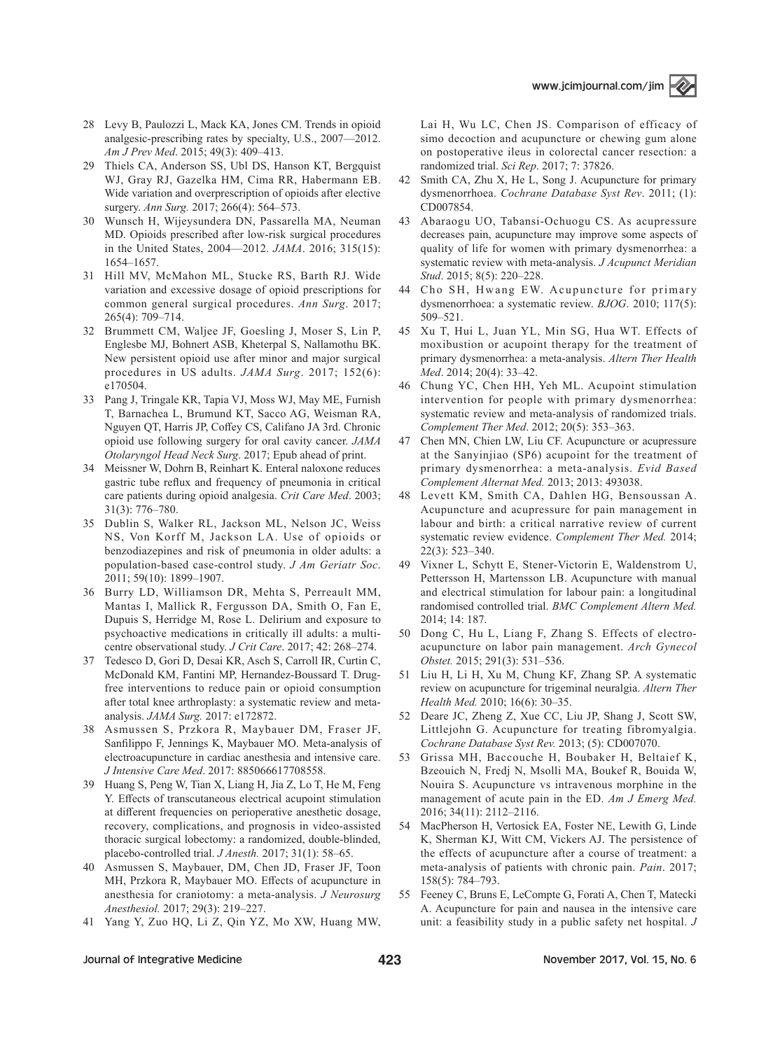- 28 Levy B, Paulozzi L, Mack KA, Jones CM. Trends in opioid analgesic-prescribing rates by specialty, U.S., 2007—2012. *Am J Prev Med*. 2015; 49(3): 409–413.
- 29 Thiels CA, Anderson SS, Ubl DS, Hanson KT, Bergquist WJ, Gray RJ, Gazelka HM, Cima RR, Habermann EB. Wide variation and overprescription of opioids after elective surgery. *Ann Surg.* 2017; 266(4): 564–573.
- 30 Wunsch H, Wijeysundera DN, Passarella MA, Neuman MD. Opioids prescribed after low-risk surgical procedures in the United States, 2004—2012. *JAMA*. 2016; 315(15): 1654–1657.
- 31 Hill MV, McMahon ML, Stucke RS, Barth RJ. Wide variation and excessive dosage of opioid prescriptions for common general surgical procedures. *Ann Surg*. 2017; 265(4): 709–714.
- 32 Brummett CM, Waljee JF, Goesling J, Moser S, Lin P, Englesbe MJ, Bohnert ASB, Kheterpal S, Nallamothu BK. New persistent opioid use after minor and major surgical procedures in US adults. *JAMA Surg*. 2017; 152(6): e170504.
- 33 Pang J, Tringale KR, Tapia VJ, Moss WJ, May ME, Furnish T, Barnachea L, Brumund KT, Sacco AG, Weisman RA, Nguyen QT, Harris JP, Coffey CS, Califano JA 3rd. Chronic opioid use following surgery for oral cavity cancer. *JAMA Otolaryngol Head Neck Surg*. 2017; Epub ahead of print.
- 34 Meissner W, Dohrn B, Reinhart K. Enteral naloxone reduces gastric tube reflux and frequency of pneumonia in critical care patients during opioid analgesia. *Crit Care Med*. 2003; 31(3): 776–780.
- 35 Dublin S, Walker RL, Jackson ML, Nelson JC, Weiss NS, Von Korff M, Jackson LA. Use of opioids or benzodiazepines and risk of pneumonia in older adults: a population-based case-control study. *J Am Geriatr Soc*. 2011; 59(10): 1899–1907.
- 36 Burry LD, Williamson DR, Mehta S, Perreault MM, Mantas I, Mallick R, Fergusson DA, Smith O, Fan E, Dupuis S, Herridge M, Rose L. Delirium and exposure to psychoactive medications in critically ill adults: a multicentre observational study. *J Crit Care*. 2017; 42: 268–274.
- 37 Tedesco D, Gori D, Desai KR, Asch S, Carroll IR, Curtin C, McDonald KM, Fantini MP, Hernandez-Boussard T. Drugfree interventions to reduce pain or opioid consumption after total knee arthroplasty: a systematic review and metaanalysis. *JAMA Surg.* 2017: e172872.
- 38 Asmussen S, Przkora R, Maybauer DM, Fraser JF, Sanfilippo F, Jennings K, Maybauer MO. Meta-analysis of electroacupuncture in cardiac anesthesia and intensive care. *J Intensive Care Med*. 2017: 885066617708558.
- 39 Huang S, Peng W, Tian X, Liang H, Jia Z, Lo T, He M, Feng Y. Effects of transcutaneous electrical acupoint stimulation at different frequencies on perioperative anesthetic dosage, recovery, complications, and prognosis in video-assisted thoracic surgical lobectomy: a randomized, double-blinded, placebo-controlled trial. *J Anesth.* 2017; 31(1): 58–65.
- 40 Asmussen S, Maybauer, DM, Chen JD, Fraser JF, Toon MH, Przkora R, Maybauer MO. Effects of acupuncture in anesthesia for craniotomy: a meta-analysis. *J Neurosurg Anesthesiol.* 2017; 29(3): 219–227.
- 41 Yang Y, Zuo HQ, Li Z, Qin YZ, Mo XW, Huang MW,

Lai H, Wu LC, Chen JS. Comparison of efficacy of simo decoction and acupuncture or chewing gum alone on postoperative ileus in colorectal cancer resection: a randomized trial. *Sci Rep*. 2017; 7: 37826.

- 42 Smith CA, Zhu X, He L, Song J. Acupuncture for primary dysmenorrhoea. *Cochrane Database Syst Rev*. 2011; (1): CD007854.
- 43 Abaraogu UO, Tabansi-Ochuogu CS. As acupressure decreases pain, acupuncture may improve some aspects of quality of life for women with primary dysmenorrhea: a systematic review with meta-analysis. *J Acupunct Meridian Stud*. 2015; 8(5): 220–228.
- 44 Cho SH, Hwang EW. Acupuncture for primary dysmenorrhoea: a systematic review. *BJOG*. 2010; 117(5): 509–521.
- 45 Xu T, Hui L, Juan YL, Min SG, Hua WT. Effects of moxibustion or acupoint therapy for the treatment of primary dysmenorrhea: a meta-analysis. *Altern Ther Health Med*. 2014; 20(4): 33–42.
- 46 Chung YC, Chen HH, Yeh ML. Acupoint stimulation intervention for people with primary dysmenorrhea: systematic review and meta-analysis of randomized trials. *Complement Ther Med*. 2012; 20(5): 353–363.
- 47 Chen MN, Chien LW, Liu CF. Acupuncture or acupressure at the Sanyinjiao (SP6) acupoint for the treatment of primary dysmenorrhea: a meta-analysis. *Evid Based Complement Alternat Med.* 2013; 2013: 493038.
- 48 Levett KM, Smith CA, Dahlen HG, Bensoussan A. Acupuncture and acupressure for pain management in labour and birth: a critical narrative review of current systematic review evidence. *Complement Ther Med.* 2014; 22(3): 523–340.
- 49 Vixner L, Schytt E, Stener-Victorin E, Waldenstrom U, Pettersson H, Martensson LB. Acupuncture with manual and electrical stimulation for labour pain: a longitudinal randomised controlled trial. *BMC Complement Altern Med.*  2014; 14: 187.
- 50 Dong C, Hu L, Liang F, Zhang S. Effects of electroacupuncture on labor pain management. *Arch Gynecol Obstet.* 2015; 291(3): 531–536.
- 51 Liu H, Li H, Xu M, Chung KF, Zhang SP. A systematic review on acupuncture for trigeminal neuralgia. *Altern Ther Health Med.* 2010; 16(6): 30–35.
- 52 Deare JC, Zheng Z, Xue CC, Liu JP, Shang J, Scott SW, Littlejohn G. Acupuncture for treating fibromyalgia. *Cochrane Database Syst Rev.* 2013; (5): CD007070.
- 53 Grissa MH, Baccouche H, Boubaker H, Beltaief K, Bzeouich N, Fredj N, Msolli MA, Boukef R, Bouida W, Nouira S. Acupuncture vs intravenous morphine in the management of acute pain in the ED. *Am J Emerg Med.*  2016; 34(11): 2112–2116.
- 54 MacPherson H, Vertosick EA, Foster NE, Lewith G, Linde K, Sherman KJ, Witt CM, Vickers AJ. The persistence of the effects of acupuncture after a course of treatment: a meta-analysis of patients with chronic pain. *Pain*. 2017; 158(5): 784–793.
- 55 Feeney C, Bruns E, LeCompte G, Forati A, Chen T, Matecki A. Acupuncture for pain and nausea in the intensive care unit: a feasibility study in a public safety net hospital. *J*

#### Journal of Integrative Medicine 15 November 2017, Vol. 15, No. 6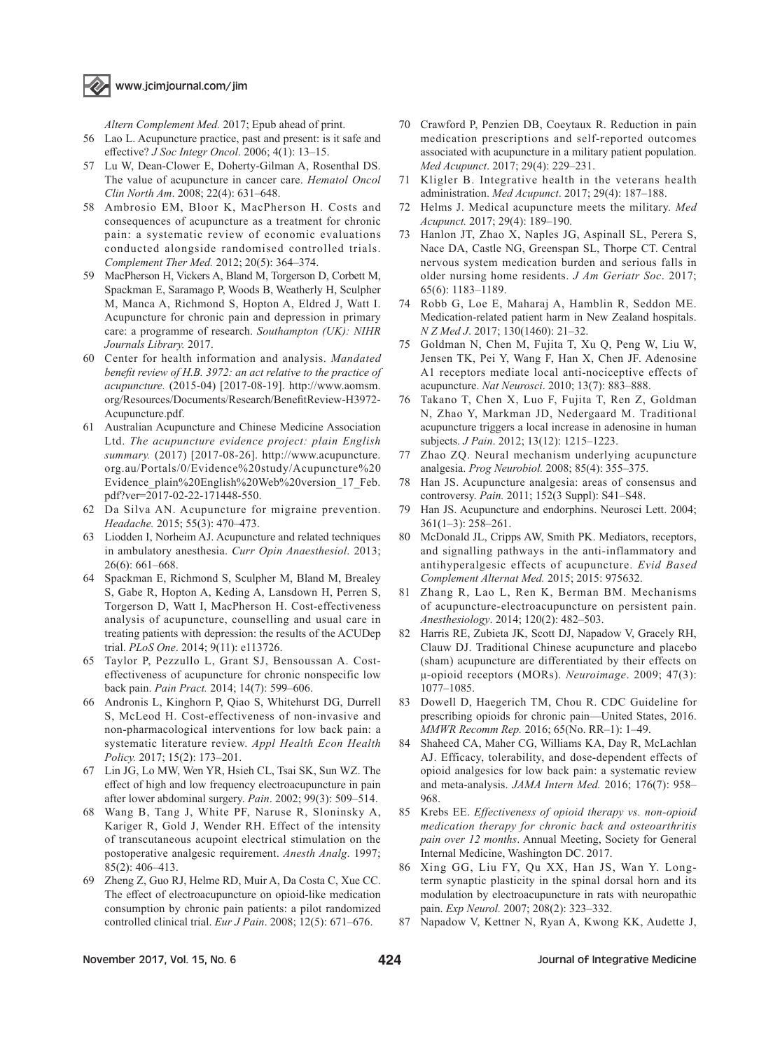

*Altern Complement Med.* 2017; Epub ahead of print.

- 56 Lao L. Acupuncture practice, past and present: is it safe and effective? *J Soc Integr Oncol*. 2006; 4(1): 13–15.
- 57 Lu W, Dean-Clower E, Doherty-Gilman A, Rosenthal DS. The value of acupuncture in cancer care. *Hematol Oncol Clin North Am*. 2008; 22(4): 631–648.
- 58 Ambrosio EM, Bloor K, MacPherson H. Costs and consequences of acupuncture as a treatment for chronic pain: a systematic review of economic evaluations conducted alongside randomised controlled trials. *Complement Ther Med.* 2012; 20(5): 364–374.
- 59 MacPherson H, Vickers A, Bland M, Torgerson D, Corbett M, Spackman E, Saramago P, Woods B, Weatherly H, Sculpher M, Manca A, Richmond S, Hopton A, Eldred J, Watt I. Acupuncture for chronic pain and depression in primary care: a programme of research. *Southampton (UK): NIHR Journals Library.* 2017.
- 60 Center for health information and analysis. *Mandated benefit review of H.B. 3972: an act relative to the practice of acupuncture.* (2015-04) [2017-08-19]. http://www.aomsm. org/Resources/Documents/Research/BenefitReview-H3972- Acupuncture.pdf.
- 61 Australian Acupuncture and Chinese Medicine Association Ltd. *The acupuncture evidence project: plain English summary.* (2017) [2017-08-26]. http://www.acupuncture. org.au/Portals/0/Evidence%20study/Acupuncture%20 Evidence\_plain%20English%20Web%20version\_17\_Feb. pdf?ver=2017-02-22-171448-550.
- 62 Da Silva AN. Acupuncture for migraine prevention. *Headache.* 2015; 55(3): 470–473.
- 63 Liodden I, Norheim AJ. Acupuncture and related techniques in ambulatory anesthesia. *Curr Opin Anaesthesiol*. 2013; 26(6): 661–668.
- 64 Spackman E, Richmond S, Sculpher M, Bland M, Brealey S, Gabe R, Hopton A, Keding A, Lansdown H, Perren S, Torgerson D, Watt I, MacPherson H. Cost-effectiveness analysis of acupuncture, counselling and usual care in treating patients with depression: the results of the ACUDep trial. *PLoS One*. 2014; 9(11): e113726.
- 65 Taylor P, Pezzullo L, Grant SJ, Bensoussan A. Costeffectiveness of acupuncture for chronic nonspecific low back pain. *Pain Pract.* 2014; 14(7): 599–606.
- 66 Andronis L, Kinghorn P, Qiao S, Whitehurst DG, Durrell S, McLeod H. Cost-effectiveness of non-invasive and non-pharmacological interventions for low back pain: a systematic literature review. *Appl Health Econ Health Policy.* 2017; 15(2): 173–201.
- 67 Lin JG, Lo MW, Wen YR, Hsieh CL, Tsai SK, Sun WZ. The effect of high and low frequency electroacupuncture in pain after lower abdominal surgery. *Pain*. 2002; 99(3): 509–514.
- 68 Wang B, Tang J, White PF, Naruse R, Sloninsky A, Kariger R, Gold J, Wender RH. Effect of the intensity of transcutaneous acupoint electrical stimulation on the postoperative analgesic requirement. *Anesth Analg*. 1997; 85(2): 406–413.
- 69 Zheng Z, Guo RJ, Helme RD, Muir A, Da Costa C, Xue CC. The effect of electroacupuncture on opioid-like medication consumption by chronic pain patients: a pilot randomized controlled clinical trial. *Eur J Pain*. 2008; 12(5): 671–676.
- 70 Crawford P, Penzien DB, Coeytaux R. Reduction in pain medication prescriptions and self-reported outcomes associated with acupuncture in a military patient population. *Med Acupunct*. 2017; 29(4): 229–231.
- 71 Kligler B. Integrative health in the veterans health administration. *Med Acupunct*. 2017; 29(4): 187–188.
- 72 Helms J. Medical acupuncture meets the military. *Med Acupunct.* 2017; 29(4): 189–190.
- 73 Hanlon JT, Zhao X, Naples JG, Aspinall SL, Perera S, Nace DA, Castle NG, Greenspan SL, Thorpe CT. Central nervous system medication burden and serious falls in older nursing home residents. *J Am Geriatr Soc*. 2017; 65(6): 1183–1189.
- 74 Robb G, Loe E, Maharaj A, Hamblin R, Seddon ME. Medication-related patient harm in New Zealand hospitals. *N Z Med J*. 2017; 130(1460): 21–32.
- 75 Goldman N, Chen M, Fujita T, Xu Q, Peng W, Liu W, Jensen TK, Pei Y, Wang F, Han X, Chen JF. Adenosine A1 receptors mediate local anti-nociceptive effects of acupuncture. *Nat Neurosci*. 2010; 13(7): 883–888.
- 76 Takano T, Chen X, Luo F, Fujita T, Ren Z, Goldman N, Zhao Y, Markman JD, Nedergaard M. Traditional acupuncture triggers a local increase in adenosine in human subjects. *J Pain*. 2012; 13(12): 1215–1223.
- 77 Zhao ZQ. Neural mechanism underlying acupuncture analgesia. *Prog Neurobiol.* 2008; 85(4): 355–375.
- 78 Han JS. Acupuncture analgesia: areas of consensus and controversy. *Pain.* 2011; 152(3 Suppl): S41–S48.
- 79 Han JS. Acupuncture and endorphins. Neurosci Lett. 2004; 361(1–3): 258–261.
- 80 McDonald JL, Cripps AW, Smith PK. Mediators, receptors, and signalling pathways in the anti-inflammatory and antihyperalgesic effects of acupuncture. *Evid Based Complement Alternat Med.* 2015; 2015: 975632.
- 81 Zhang R, Lao L, Ren K, Berman BM. Mechanisms of acupuncture-electroacupuncture on persistent pain. *Anesthesiology*. 2014; 120(2): 482–503.
- 82 Harris RE, Zubieta JK, Scott DJ, Napadow V, Gracely RH, Clauw DJ. Traditional Chinese acupuncture and placebo (sham) acupuncture are differentiated by their effects on μ-opioid receptors (MORs). *Neuroimage*. 2009; 47(3): 1077–1085.
- 83 Dowell D, Haegerich TM, Chou R. CDC Guideline for prescribing opioids for chronic pain—United States, 2016. *MMWR Recomm Rep.* 2016; 65(No. RR–1): 1–49.
- 84 Shaheed CA, Maher CG, Williams KA, Day R, McLachlan AJ. Efficacy, tolerability, and dose-dependent effects of opioid analgesics for low back pain: a systematic review and meta-analysis. *JAMA Intern Med.* 2016; 176(7): 958– 968.
- 85 Krebs EE. *Effectiveness of opioid therapy vs. non-opioid medication therapy for chronic back and osteoarthritis pain over 12 months*. Annual Meeting, Society for General Internal Medicine, Washington DC. 2017.
- 86 Xing GG, Liu FY, Qu XX, Han JS, Wan Y. Longterm synaptic plasticity in the spinal dorsal horn and its modulation by electroacupuncture in rats with neuropathic pain. *Exp Neurol.* 2007; 208(2): 323–332.
- 87 Napadow V, Kettner N, Ryan A, Kwong KK, Audette J,